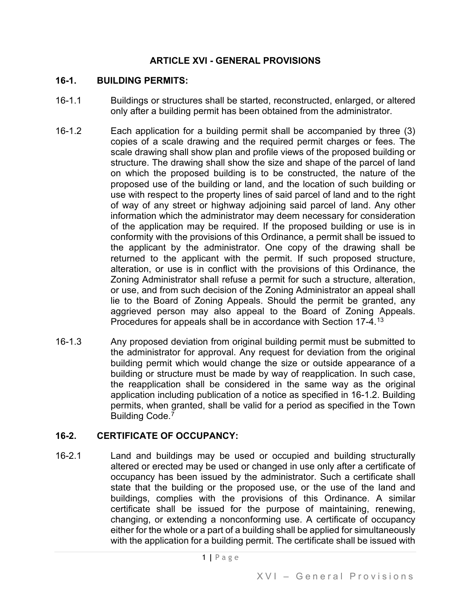#### **ARTICLE XVI - GENERAL PROVISIONS**

#### **16-1. BUILDING PERMITS:**

- 16-1.1 Buildings or structures shall be started, reconstructed, enlarged, or altered only after a building permit has been obtained from the administrator.
- 16-1.2 Each application for a building permit shall be accompanied by three (3) copies of a scale drawing and the required permit charges or fees. The scale drawing shall show plan and profile views of the proposed building or structure. The drawing shall show the size and shape of the parcel of land on which the proposed building is to be constructed, the nature of the proposed use of the building or land, and the location of such building or use with respect to the property lines of said parcel of land and to the right of way of any street or highway adjoining said parcel of land. Any other information which the administrator may deem necessary for consideration of the application may be required. If the proposed building or use is in conformity with the provisions of this Ordinance, a permit shall be issued to the applicant by the administrator. One copy of the drawing shall be returned to the applicant with the permit. If such proposed structure, alteration, or use is in conflict with the provisions of this Ordinance, the Zoning Administrator shall refuse a permit for such a structure, alteration, or use, and from such decision of the Zoning Administrator an appeal shall lie to the Board of Zoning Appeals. Should the permit be granted, any aggrieved person may also appeal to the Board of Zoning Appeals. Procedures for appeals shall be in accordance with Section 17-4.<sup>[13](#page-50-0)</sup>
- 16-1.3 Any proposed deviation from original building permit must be submitted to the administrator for approval. Any request for deviation from the original building permit which would change the size or outside appearance of a building or structure must be made by way of reapplication. In such case, the reapplication shall be considered in the same way as the original application including publication of a notice as specified in 16-1.2. Building permits, when granted, shall be valid for a period as specified in the Town Building Code[.7](#page-50-1)

## **16-2. CERTIFICATE OF OCCUPANCY:**

16-2.1 Land and buildings may be used or occupied and building structurally altered or erected may be used or changed in use only after a certificate of occupancy has been issued by the administrator. Such a certificate shall state that the building or the proposed use, or the use of the land and buildings, complies with the provisions of this Ordinance. A similar certificate shall be issued for the purpose of maintaining, renewing, changing, or extending a nonconforming use. A certificate of occupancy either for the whole or a part of a building shall be applied for simultaneously with the application for a building permit. The certificate shall be issued with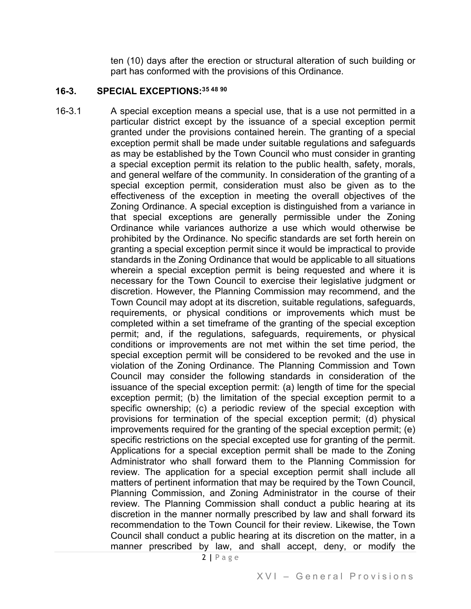ten (10) days after the erection or structural alteration of such building or part has conformed with the provisions of this Ordinance.

#### **16-3. SPECIAL EXCEPTIONS:3[5 4](#page-50-2)[8](#page-50-3) [90](#page-50-4)**

16-3.1 A special exception means a special use, that is a use not permitted in a particular district except by the issuance of a special exception permit granted under the provisions contained herein. The granting of a special exception permit shall be made under suitable regulations and safeguards as may be established by the Town Council who must consider in granting a special exception permit its relation to the public health, safety, morals, and general welfare of the community. In consideration of the granting of a special exception permit, consideration must also be given as to the effectiveness of the exception in meeting the overall objectives of the Zoning Ordinance. A special exception is distinguished from a variance in that special exceptions are generally permissible under the Zoning Ordinance while variances authorize a use which would otherwise be prohibited by the Ordinance. No specific standards are set forth herein on granting a special exception permit since it would be impractical to provide standards in the Zoning Ordinance that would be applicable to all situations wherein a special exception permit is being requested and where it is necessary for the Town Council to exercise their legislative judgment or discretion. However, the Planning Commission may recommend, and the Town Council may adopt at its discretion, suitable regulations, safeguards, requirements, or physical conditions or improvements which must be completed within a set timeframe of the granting of the special exception permit; and, if the regulations, safeguards, requirements, or physical conditions or improvements are not met within the set time period, the special exception permit will be considered to be revoked and the use in violation of the Zoning Ordinance. The Planning Commission and Town Council may consider the following standards in consideration of the issuance of the special exception permit: (a) length of time for the special exception permit; (b) the limitation of the special exception permit to a specific ownership; (c) a periodic review of the special exception with provisions for termination of the special exception permit; (d) physical improvements required for the granting of the special exception permit; (e) specific restrictions on the special excepted use for granting of the permit. Applications for a special exception permit shall be made to the Zoning Administrator who shall forward them to the Planning Commission for review. The application for a special exception permit shall include all matters of pertinent information that may be required by the Town Council, Planning Commission, and Zoning Administrator in the course of their review. The Planning Commission shall conduct a public hearing at its discretion in the manner normally prescribed by law and shall forward its recommendation to the Town Council for their review. Likewise, the Town Council shall conduct a public hearing at its discretion on the matter, in a manner prescribed by law, and shall accept, deny, or modify the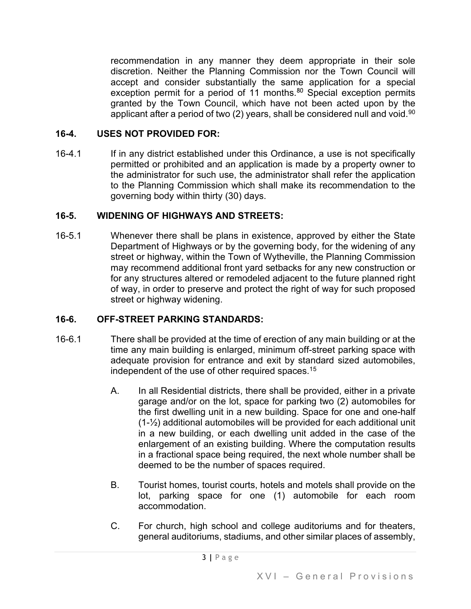recommendation in any manner they deem appropriate in their sole discretion. Neither the Planning Commission nor the Town Council will accept and consider substantially the same application for a special exception permit for a period of 11 months. $80$  Special exception permits granted by the Town Council, which have not been acted upon by the applicant after a period of two  $(2)$  years, shall be considered null and void.<sup>[90](#page-50-6)</sup>

## **16-4. USES NOT PROVIDED FOR:**

16-4.1 If in any district established under this Ordinance, a use is not specifically permitted or prohibited and an application is made by a property owner to the administrator for such use, the administrator shall refer the application to the Planning Commission which shall make its recommendation to the governing body within thirty (30) days.

#### **16-5. WIDENING OF HIGHWAYS AND STREETS:**

16-5.1 Whenever there shall be plans in existence, approved by either the State Department of Highways or by the governing body, for the widening of any street or highway, within the Town of Wytheville, the Planning Commission may recommend additional front yard setbacks for any new construction or for any structures altered or remodeled adjacent to the future planned right of way, in order to preserve and protect the right of way for such proposed street or highway widening.

## **16-6. OFF-STREET PARKING STANDARDS:**

- 16-6.1 There shall be provided at the time of erection of any main building or at the time any main building is enlarged, minimum off-street parking space with adequate provision for entrance and exit by standard sized automobiles, independent of the use of other required spaces.1[5](#page-50-7)
	- A. In all Residential districts, there shall be provided, either in a private garage and/or on the lot, space for parking two (2) automobiles for the first dwelling unit in a new building. Space for one and one-half (1-½) additional automobiles will be provided for each additional unit in a new building, or each dwelling unit added in the case of the enlargement of an existing building. Where the computation results in a fractional space being required, the next whole number shall be deemed to be the number of spaces required.
	- B. Tourist homes, tourist courts, hotels and motels shall provide on the lot, parking space for one (1) automobile for each room accommodation.
	- C. For church, high school and college auditoriums and for theaters, general auditoriums, stadiums, and other similar places of assembly,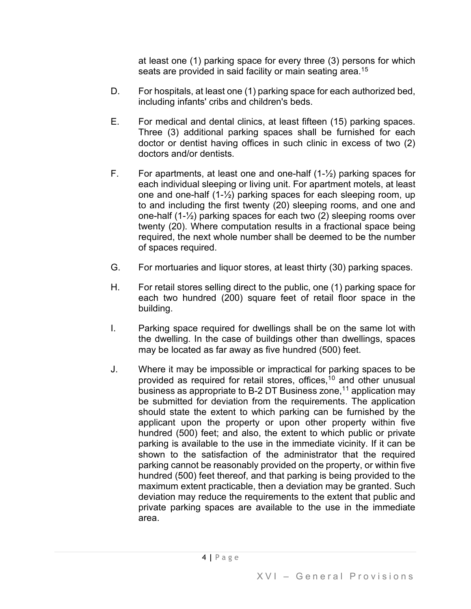at least one (1) parking space for every three (3) persons for which seats are provided in said facility or main seating area.<sup>[15](#page-50-8)</sup>

- D. For hospitals, at least one (1) parking space for each authorized bed, including infants' cribs and children's beds.
- E. For medical and dental clinics, at least fifteen (15) parking spaces. Three (3) additional parking spaces shall be furnished for each doctor or dentist having offices in such clinic in excess of two (2) doctors and/or dentists.
- F. For apartments, at least one and one-half  $(1-\frac{1}{2})$  parking spaces for each individual sleeping or living unit. For apartment motels, at least one and one-half (1-½) parking spaces for each sleeping room, up to and including the first twenty (20) sleeping rooms, and one and one-half (1-½) parking spaces for each two (2) sleeping rooms over twenty (20). Where computation results in a fractional space being required, the next whole number shall be deemed to be the number of spaces required.
- G. For mortuaries and liquor stores, at least thirty (30) parking spaces.
- H. For retail stores selling direct to the public, one (1) parking space for each two hundred (200) square feet of retail floor space in the building.
- I. Parking space required for dwellings shall be on the same lot with the dwelling. In the case of buildings other than dwellings, spaces may be located as far away as five hundred (500) feet.
- J. Where it may be impossible or impractical for parking spaces to be provided as required for retail stores, offices,1[0](#page-50-9) and other unusual business as appropriate to B-2 DT Business zone,<sup>[1](#page-50-10)1</sup> application may be submitted for deviation from the requirements. The application should state the extent to which parking can be furnished by the applicant upon the property or upon other property within five hundred (500) feet; and also, the extent to which public or private parking is available to the use in the immediate vicinity. If it can be shown to the satisfaction of the administrator that the required parking cannot be reasonably provided on the property, or within five hundred (500) feet thereof, and that parking is being provided to the maximum extent practicable, then a deviation may be granted. Such deviation may reduce the requirements to the extent that public and private parking spaces are available to the use in the immediate area.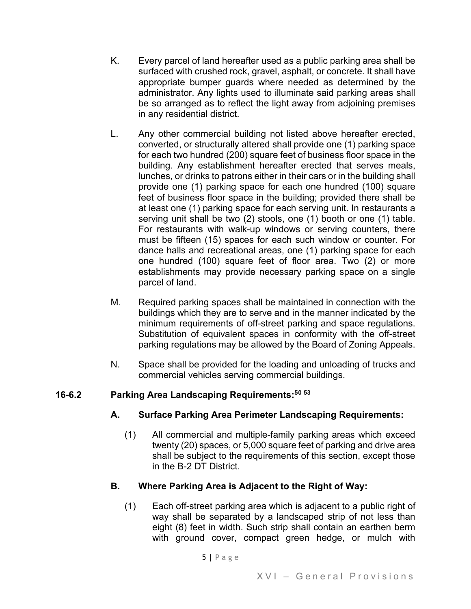- K. Every parcel of land hereafter used as a public parking area shall be surfaced with crushed rock, gravel, asphalt, or concrete. It shall have appropriate bumper guards where needed as determined by the administrator. Any lights used to illuminate said parking areas shall be so arranged as to reflect the light away from adjoining premises in any residential district.
- L. Any other commercial building not listed above hereafter erected, converted, or structurally altered shall provide one (1) parking space for each two hundred (200) square feet of business floor space in the building. Any establishment hereafter erected that serves meals, lunches, or drinks to patrons either in their cars or in the building shall provide one (1) parking space for each one hundred (100) square feet of business floor space in the building; provided there shall be at least one (1) parking space for each serving unit. In restaurants a serving unit shall be two (2) stools, one (1) booth or one (1) table. For restaurants with walk-up windows or serving counters, there must be fifteen (15) spaces for each such window or counter. For dance halls and recreational areas, one (1) parking space for each one hundred (100) square feet of floor area. Two (2) or more establishments may provide necessary parking space on a single parcel of land.
- M. Required parking spaces shall be maintained in connection with the buildings which they are to serve and in the manner indicated by the minimum requirements of off-street parking and space regulations. Substitution of equivalent spaces in conformity with the off-street parking regulations may be allowed by the Board of Zoning Appeals.
- N. Space shall be provided for the loading and unloading of trucks and commercial vehicles serving commercial buildings.

# **16-6.2 Parking Area Landscaping Requirements:5[0](#page-50-11) [53](#page-50-12)**

# **A. Surface Parking Area Perimeter Landscaping Requirements:**

(1) All commercial and multiple-family parking areas which exceed twenty (20) spaces, or 5,000 square feet of parking and drive area shall be subject to the requirements of this section, except those in the B-2 DT District.

# **B. Where Parking Area is Adjacent to the Right of Way:**

(1) Each off-street parking area which is adjacent to a public right of way shall be separated by a landscaped strip of not less than eight (8) feet in width. Such strip shall contain an earthen berm with ground cover, compact green hedge, or mulch with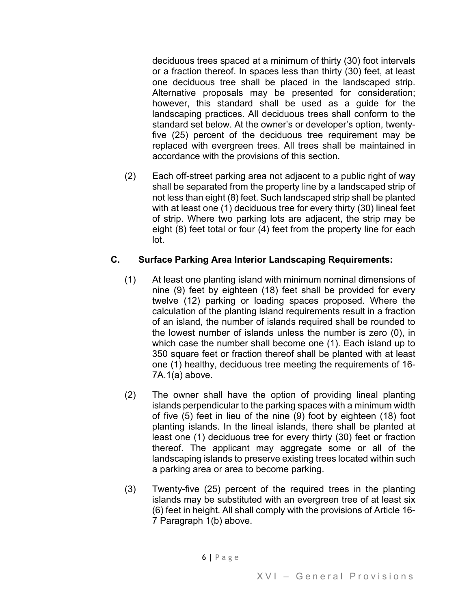deciduous trees spaced at a minimum of thirty (30) foot intervals or a fraction thereof. In spaces less than thirty (30) feet, at least one deciduous tree shall be placed in the landscaped strip. Alternative proposals may be presented for consideration; however, this standard shall be used as a guide for the landscaping practices. All deciduous trees shall conform to the standard set below. At the owner's or developer's option, twentyfive (25) percent of the deciduous tree requirement may be replaced with evergreen trees. All trees shall be maintained in accordance with the provisions of this section.

(2) Each off-street parking area not adjacent to a public right of way shall be separated from the property line by a landscaped strip of not less than eight (8) feet. Such landscaped strip shall be planted with at least one (1) deciduous tree for every thirty (30) lineal feet of strip. Where two parking lots are adjacent, the strip may be eight (8) feet total or four (4) feet from the property line for each lot.

## **C. Surface Parking Area Interior Landscaping Requirements:**

- (1) At least one planting island with minimum nominal dimensions of nine (9) feet by eighteen (18) feet shall be provided for every twelve (12) parking or loading spaces proposed. Where the calculation of the planting island requirements result in a fraction of an island, the number of islands required shall be rounded to the lowest number of islands unless the number is zero (0), in which case the number shall become one (1). Each island up to 350 square feet or fraction thereof shall be planted with at least one (1) healthy, deciduous tree meeting the requirements of 16- 7A.1(a) above.
- (2) The owner shall have the option of providing lineal planting islands perpendicular to the parking spaces with a minimum width of five (5) feet in lieu of the nine (9) foot by eighteen (18) foot planting islands. In the lineal islands, there shall be planted at least one (1) deciduous tree for every thirty (30) feet or fraction thereof. The applicant may aggregate some or all of the landscaping islands to preserve existing trees located within such a parking area or area to become parking.
- (3) Twenty-five (25) percent of the required trees in the planting islands may be substituted with an evergreen tree of at least six (6) feet in height. All shall comply with the provisions of Article 16- 7 Paragraph 1(b) above.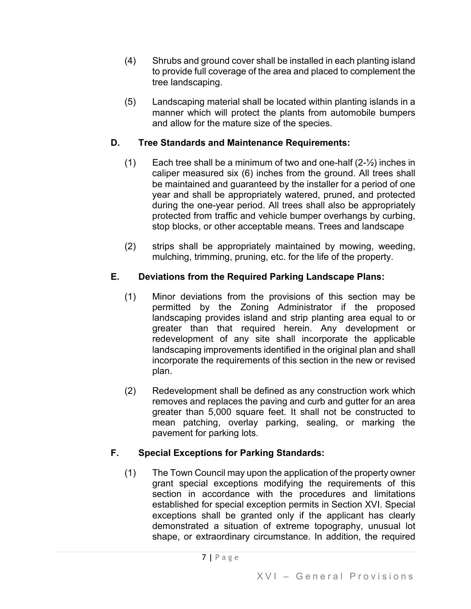- (4) Shrubs and ground cover shall be installed in each planting island to provide full coverage of the area and placed to complement the tree landscaping.
- (5) Landscaping material shall be located within planting islands in a manner which will protect the plants from automobile bumpers and allow for the mature size of the species.

## **D. Tree Standards and Maintenance Requirements:**

- (1) Each tree shall be a minimum of two and one-half  $(2-\frac{1}{2})$  inches in caliper measured six (6) inches from the ground. All trees shall be maintained and guaranteed by the installer for a period of one year and shall be appropriately watered, pruned, and protected during the one-year period. All trees shall also be appropriately protected from traffic and vehicle bumper overhangs by curbing, stop blocks, or other acceptable means. Trees and landscape
- (2) strips shall be appropriately maintained by mowing, weeding, mulching, trimming, pruning, etc. for the life of the property.

# **E. Deviations from the Required Parking Landscape Plans:**

- (1) Minor deviations from the provisions of this section may be permitted by the Zoning Administrator if the proposed landscaping provides island and strip planting area equal to or greater than that required herein. Any development or redevelopment of any site shall incorporate the applicable landscaping improvements identified in the original plan and shall incorporate the requirements of this section in the new or revised plan.
- (2) Redevelopment shall be defined as any construction work which removes and replaces the paving and curb and gutter for an area greater than 5,000 square feet. It shall not be constructed to mean patching, overlay parking, sealing, or marking the pavement for parking lots.

# **F. Special Exceptions for Parking Standards:**

(1) The Town Council may upon the application of the property owner grant special exceptions modifying the requirements of this section in accordance with the procedures and limitations established for special exception permits in Section XVI. Special exceptions shall be granted only if the applicant has clearly demonstrated a situation of extreme topography, unusual lot shape, or extraordinary circumstance. In addition, the required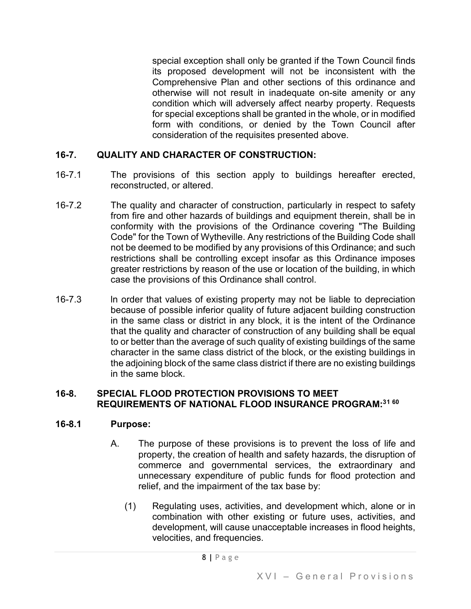special exception shall only be granted if the Town Council finds its proposed development will not be inconsistent with the Comprehensive Plan and other sections of this ordinance and otherwise will not result in inadequate on-site amenity or any condition which will adversely affect nearby property. Requests for special exceptions shall be granted in the whole, or in modified form with conditions, or denied by the Town Council after consideration of the requisites presented above.

#### **16-7. QUALITY AND CHARACTER OF CONSTRUCTION:**

- 16-7.1 The provisions of this section apply to buildings hereafter erected, reconstructed, or altered.
- 16-7.2 The quality and character of construction, particularly in respect to safety from fire and other hazards of buildings and equipment therein, shall be in conformity with the provisions of the Ordinance covering "The Building Code" for the Town of Wytheville. Any restrictions of the Building Code shall not be deemed to be modified by any provisions of this Ordinance; and such restrictions shall be controlling except insofar as this Ordinance imposes greater restrictions by reason of the use or location of the building, in which case the provisions of this Ordinance shall control.
- 16-7.3 ln order that values of existing property may not be liable to depreciation because of possible inferior quality of future adjacent building construction in the same class or district in any block, it is the intent of the Ordinance that the quality and character of construction of any building shall be equal to or better than the average of such quality of existing buildings of the same character in the same class district of the block, or the existing buildings in the adjoining block of the same class district if there are no existing buildings in the same block.

#### **16-8. SPECIAL FLOOD PROTECTION PROVISIONS TO MEET REQUIREMENTS OF NATIONAL FLOOD INSURANCE PROGRAM:3[1](#page-50-13) [60](#page-50-14)**

#### **16-8.1 Purpose:**

- A. The purpose of these provisions is to prevent the loss of life and property, the creation of health and safety hazards, the disruption of commerce and governmental services, the extraordinary and unnecessary expenditure of public funds for flood protection and relief, and the impairment of the tax base by:
	- (1) Regulating uses, activities, and development which, alone or in combination with other existing or future uses, activities, and development, will cause unacceptable increases in flood heights, velocities, and frequencies.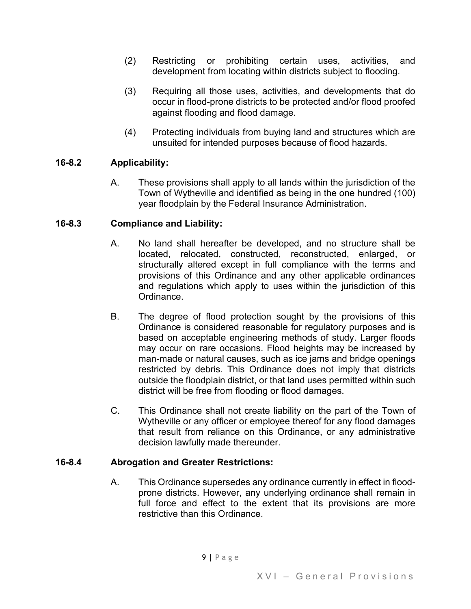- (2) Restricting or prohibiting certain uses, activities, and development from locating within districts subject to flooding.
- (3) Requiring all those uses, activities, and developments that do occur in flood-prone districts to be protected and/or flood proofed against flooding and flood damage.
- (4) Protecting individuals from buying land and structures which are unsuited for intended purposes because of flood hazards.

## **16-8.2 Applicability:**

A. These provisions shall apply to all lands within the jurisdiction of the Town of Wytheville and identified as being in the one hundred (100) year floodplain by the Federal Insurance Administration.

## **16-8.3 Compliance and Liability:**

- A. No land shall hereafter be developed, and no structure shall be located, relocated, constructed, reconstructed, enlarged, or structurally altered except in full compliance with the terms and provisions of this Ordinance and any other applicable ordinances and regulations which apply to uses within the jurisdiction of this Ordinance.
- B. The degree of flood protection sought by the provisions of this Ordinance is considered reasonable for regulatory purposes and is based on acceptable engineering methods of study. Larger floods may occur on rare occasions. Flood heights may be increased by man-made or natural causes, such as ice jams and bridge openings restricted by debris. This Ordinance does not imply that districts outside the floodplain district, or that land uses permitted within such district will be free from flooding or flood damages.
- C. This Ordinance shall not create liability on the part of the Town of Wytheville or any officer or employee thereof for any flood damages that result from reliance on this Ordinance, or any administrative decision lawfully made thereunder.

## **16-8.4 Abrogation and Greater Restrictions:**

A. This Ordinance supersedes any ordinance currently in effect in floodprone districts. However, any underlying ordinance shall remain in full force and effect to the extent that its provisions are more restrictive than this Ordinance.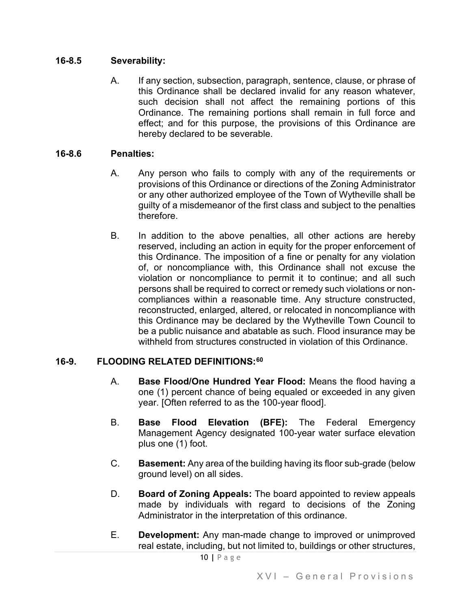#### **16-8.5 Severability:**

A. If any section, subsection, paragraph, sentence, clause, or phrase of this Ordinance shall be declared invalid for any reason whatever, such decision shall not affect the remaining portions of this Ordinance. The remaining portions shall remain in full force and effect; and for this purpose, the provisions of this Ordinance are hereby declared to be severable.

#### **16-8.6 Penalties:**

- A. Any person who fails to comply with any of the requirements or provisions of this Ordinance or directions of the Zoning Administrator or any other authorized employee of the Town of Wytheville shall be guilty of a misdemeanor of the first class and subject to the penalties therefore.
- B. In addition to the above penalties, all other actions are hereby reserved, including an action in equity for the proper enforcement of this Ordinance. The imposition of a fine or penalty for any violation of, or noncompliance with, this Ordinance shall not excuse the violation or noncompliance to permit it to continue; and all such persons shall be required to correct or remedy such violations or noncompliances within a reasonable time. Any structure constructed, reconstructed, enlarged, altered, or relocated in noncompliance with this Ordinance may be declared by the Wytheville Town Council to be a public nuisance and abatable as such. Flood insurance may be withheld from structures constructed in violation of this Ordinance.

## **16-9. FLOODING RELATED DEFINITIONS:[60](#page-50-15)**

- A. **Base Flood/One Hundred Year Flood:** Means the flood having a one (1) percent chance of being equaled or exceeded in any given year. [Often referred to as the 100-year flood].
- B. **Base Flood Elevation (BFE):** The Federal Emergency Management Agency designated 100-year water surface elevation plus one (1) foot.
- C. **Basement:** Any area of the building having its floor sub-grade (below ground level) on all sides.
- D. **Board of Zoning Appeals:** The board appointed to review appeals made by individuals with regard to decisions of the Zoning Administrator in the interpretation of this ordinance.
- E. **Development:** Any man-made change to improved or unimproved real estate, including, but not limited to, buildings or other structures,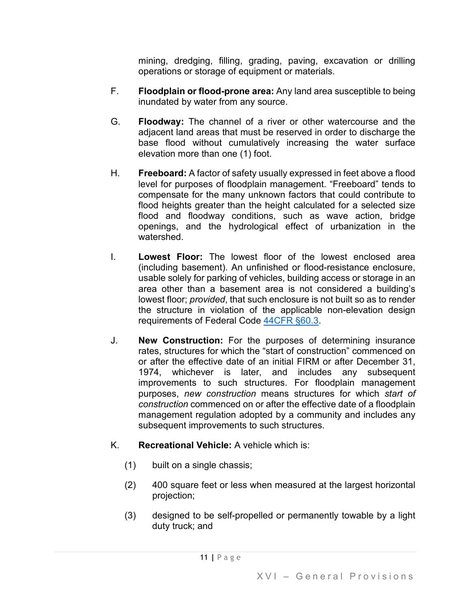mining, dredging, filling, grading, paving, excavation or drilling operations or storage of equipment or materials.

- F. **Floodplain or flood-prone area:** Any land area susceptible to being inundated by water from any source.
- G. **Floodway:** The channel of a river or other watercourse and the adjacent land areas that must be reserved in order to discharge the base flood without cumulatively increasing the water surface elevation more than one (1) foot.
- H. **Freeboard:** A factor of safety usually expressed in feet above a flood level for purposes of floodplain management. "Freeboard" tends to compensate for the many unknown factors that could contribute to flood heights greater than the height calculated for a selected size flood and floodway conditions, such as wave action, bridge openings, and the hydrological effect of urbanization in the watershed.
- I. **Lowest Floor:** The lowest floor of the lowest enclosed area (including basement). An unfinished or flood-resistance enclosure, usable solely for parking of vehicles, building access or storage in an area other than a basement area is not considered a building's lowest floor; *provided*, that such enclosure is not built so as to render the structure in violation of the applicable non-elevation design requirements of Federal Code [44CFR §60.3.](https://www.govinfo.gov/content/pkg/CFR-2012-title44-vol1/pdf/CFR-2012-title44-vol1-sec60-3.pdf)
- J. **New Construction:** For the purposes of determining insurance rates, structures for which the "start of construction" commenced on or after the effective date of an initial FIRM or after December 31, 1974, whichever is later, and includes any subsequent improvements to such structures. For floodplain management purposes, *new construction* means structures for which *start of construction* commenced on or after the effective date of a floodplain management regulation adopted by a community and includes any subsequent improvements to such structures.
- K. **Recreational Vehicle:** A vehicle which is:
	- (1) built on a single chassis;
	- (2) 400 square feet or less when measured at the largest horizontal projection;
	- (3) designed to be self-propelled or permanently towable by a light duty truck; and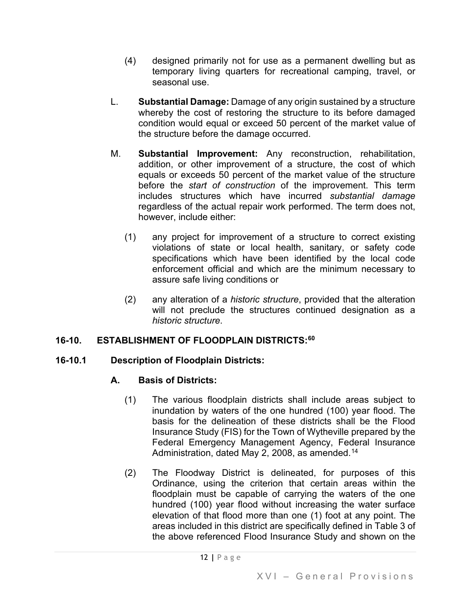- (4) designed primarily not for use as a permanent dwelling but as temporary living quarters for recreational camping, travel, or seasonal use.
- L. **Substantial Damage:** Damage of any origin sustained by a structure whereby the cost of restoring the structure to its before damaged condition would equal or exceed 50 percent of the market value of the structure before the damage occurred.
- M. **Substantial Improvement:** Any reconstruction, rehabilitation, addition, or other improvement of a structure, the cost of which equals or exceeds 50 percent of the market value of the structure before the *start of construction* of the improvement. This term includes structures which have incurred *substantial damage* regardless of the actual repair work performed. The term does not, however, include either:
	- (1) any project for improvement of a structure to correct existing violations of state or local health, sanitary, or safety code specifications which have been identified by the local code enforcement official and which are the minimum necessary to assure safe living conditions or
	- (2) any alteration of a *historic structure*, provided that the alteration will not preclude the structures continued designation as a *historic structure*.

# **16-10. ESTABLISHMENT OF FLOODPLAIN DISTRICTS:[60](#page-50-16)**

## **16-10.1 Description of Floodplain Districts:**

# **A. Basis of Districts:**

- (1) The various floodplain districts shall include areas subject to inundation by waters of the one hundred (100) year flood. The basis for the delineation of these districts shall be the Flood Insurance Study (FIS) for the Town of Wytheville prepared by the Federal Emergency Management Agency, Federal Insurance Administration, dated May 2, 2008, as amended.<sup>[14](#page-50-17)</sup>
- (2) The Floodway District is delineated, for purposes of this Ordinance, using the criterion that certain areas within the floodplain must be capable of carrying the waters of the one hundred (100) year flood without increasing the water surface elevation of that flood more than one (1) foot at any point. The areas included in this district are specifically defined in Table 3 of the above referenced Flood Insurance Study and shown on the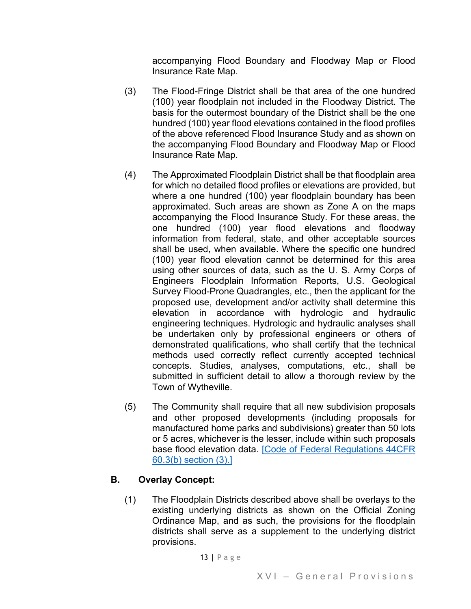accompanying Flood Boundary and Floodway Map or Flood Insurance Rate Map.

- (3) The Flood-Fringe District shall be that area of the one hundred (100) year floodplain not included in the Floodway District. The basis for the outermost boundary of the District shall be the one hundred (100) year flood elevations contained in the flood profiles of the above referenced Flood Insurance Study and as shown on the accompanying Flood Boundary and Floodway Map or Flood Insurance Rate Map.
- (4) The Approximated Floodplain District shall be that floodplain area for which no detailed flood profiles or elevations are provided, but where a one hundred (100) year floodplain boundary has been approximated. Such areas are shown as Zone A on the maps accompanying the Flood Insurance Study. For these areas, the one hundred (100) year flood elevations and floodway information from federal, state, and other acceptable sources shall be used, when available. Where the specific one hundred (100) year flood elevation cannot be determined for this area using other sources of data, such as the U. S. Army Corps of Engineers Floodplain Information Reports, U.S. Geological Survey Flood-Prone Quadrangles, etc., then the applicant for the proposed use, development and/or activity shall determine this elevation in accordance with hydrologic and hydraulic engineering techniques. Hydrologic and hydraulic analyses shall be undertaken only by professional engineers or others of demonstrated qualifications, who shall certify that the technical methods used correctly reflect currently accepted technical concepts. Studies, analyses, computations, etc., shall be submitted in sufficient detail to allow a thorough review by the Town of Wytheville.
- (5) The Community shall require that all new subdivision proposals and other proposed developments (including proposals for manufactured home parks and subdivisions) greater than 50 lots or 5 acres, whichever is the lesser, include within such proposals base flood elevation data. [\[Code of Federal Regulations 44CFR](https://www.govinfo.gov/content/pkg/CFR-2012-title44-vol1/pdf/CFR-2012-title44-vol1-sec60-3.pdf)  [60.3\(b\) section \(3\).\]](https://www.govinfo.gov/content/pkg/CFR-2012-title44-vol1/pdf/CFR-2012-title44-vol1-sec60-3.pdf)

# **B. Overlay Concept:**

(1) The Floodplain Districts described above shall be overlays to the existing underlying districts as shown on the Official Zoning Ordinance Map, and as such, the provisions for the floodplain districts shall serve as a supplement to the underlying district provisions.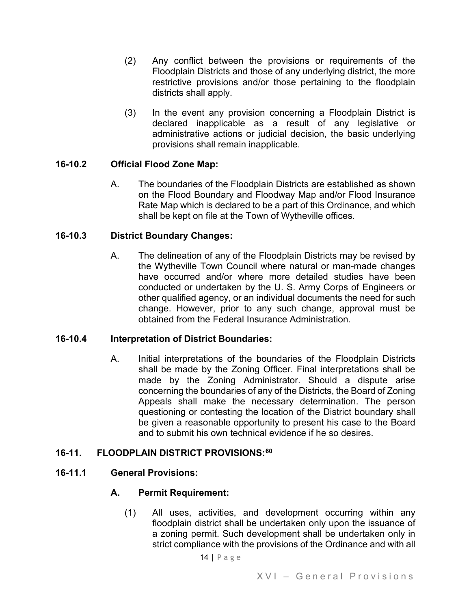- (2) Any conflict between the provisions or requirements of the Floodplain Districts and those of any underlying district, the more restrictive provisions and/or those pertaining to the floodplain districts shall apply.
- (3) In the event any provision concerning a Floodplain District is declared inapplicable as a result of any legislative or administrative actions or judicial decision, the basic underlying provisions shall remain inapplicable.

## **16-10.2 Official Flood Zone Map:**

A. The boundaries of the Floodplain Districts are established as shown on the Flood Boundary and Floodway Map and/or Flood Insurance Rate Map which is declared to be a part of this Ordinance, and which shall be kept on file at the Town of Wytheville offices.

#### **16-10.3 District Boundary Changes:**

A. The delineation of any of the Floodplain Districts may be revised by the Wytheville Town Council where natural or man-made changes have occurred and/or where more detailed studies have been conducted or undertaken by the U. S. Army Corps of Engineers or other qualified agency, or an individual documents the need for such change. However, prior to any such change, approval must be obtained from the Federal Insurance Administration.

#### **16-10.4 Interpretation of District Boundaries:**

A. Initial interpretations of the boundaries of the Floodplain Districts shall be made by the Zoning Officer. Final interpretations shall be made by the Zoning Administrator. Should a dispute arise concerning the boundaries of any of the Districts, the Board of Zoning Appeals shall make the necessary determination. The person questioning or contesting the location of the District boundary shall be given a reasonable opportunity to present his case to the Board and to submit his own technical evidence if he so desires.

#### **16-11. FLOODPLAIN DISTRICT PROVISIONS:[60](#page-50-18)**

#### **16-11.1 General Provisions:**

#### **A. Permit Requirement:**

(1) All uses, activities, and development occurring within any floodplain district shall be undertaken only upon the issuance of a zoning permit. Such development shall be undertaken only in strict compliance with the provisions of the Ordinance and with all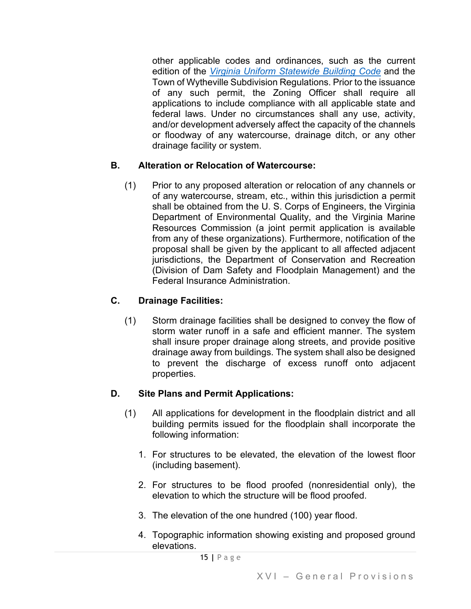other applicable codes and ordinances, such as the current edition of the *[Virginia Uniform Statewide Building Code](https://codes.iccsafe.org/codes/virginia)* and the Town of Wytheville Subdivision Regulations. Prior to the issuance of any such permit, the Zoning Officer shall require all applications to include compliance with all applicable state and federal laws. Under no circumstances shall any use, activity, and/or development adversely affect the capacity of the channels or floodway of any watercourse, drainage ditch, or any other drainage facility or system.

## **B. Alteration or Relocation of Watercourse:**

(1) Prior to any proposed alteration or relocation of any channels or of any watercourse, stream, etc., within this jurisdiction a permit shall be obtained from the U. S. Corps of Engineers, the Virginia Department of Environmental Quality, and the Virginia Marine Resources Commission (a joint permit application is available from any of these organizations). Furthermore, notification of the proposal shall be given by the applicant to all affected adjacent jurisdictions, the Department of Conservation and Recreation (Division of Dam Safety and Floodplain Management) and the Federal Insurance Administration.

# **C. Drainage Facilities:**

(1) Storm drainage facilities shall be designed to convey the flow of storm water runoff in a safe and efficient manner. The system shall insure proper drainage along streets, and provide positive drainage away from buildings. The system shall also be designed to prevent the discharge of excess runoff onto adjacent properties.

## **D. Site Plans and Permit Applications:**

- (1) All applications for development in the floodplain district and all building permits issued for the floodplain shall incorporate the following information:
	- 1. For structures to be elevated, the elevation of the lowest floor (including basement).
	- 2. For structures to be flood proofed (nonresidential only), the elevation to which the structure will be flood proofed.
	- 3. The elevation of the one hundred (100) year flood.
	- 4. Topographic information showing existing and proposed ground elevations.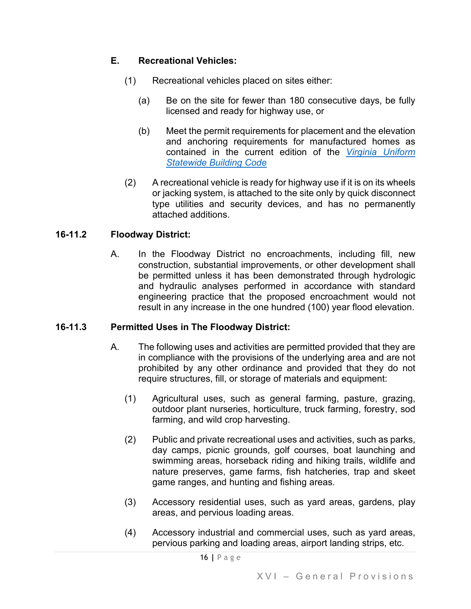## **E. Recreational Vehicles:**

- (1) Recreational vehicles placed on sites either:
	- (a) Be on the site for fewer than 180 consecutive days, be fully licensed and ready for highway use, or
	- (b) Meet the permit requirements for placement and the elevation and anchoring requirements for manufactured homes as contained in the current edition of the *[Virginia Uniform](https://codes.iccsafe.org/codes/virginia)  [Statewide Building Code](https://codes.iccsafe.org/codes/virginia)*
- (2) A recreational vehicle is ready for highway use if it is on its wheels or jacking system, is attached to the site only by quick disconnect type utilities and security devices, and has no permanently attached additions.

#### **16-11.2 Floodway District:**

A. In the Floodway District no encroachments, including fill, new construction, substantial improvements, or other development shall be permitted unless it has been demonstrated through hydrologic and hydraulic analyses performed in accordance with standard engineering practice that the proposed encroachment would not result in any increase in the one hundred (100) year flood elevation.

## **16-11.3 Permitted Uses in The Floodway District:**

- A. The following uses and activities are permitted provided that they are in compliance with the provisions of the underlying area and are not prohibited by any other ordinance and provided that they do not require structures, fill, or storage of materials and equipment:
	- (1) Agricultural uses, such as general farming, pasture, grazing, outdoor plant nurseries, horticulture, truck farming, forestry, sod farming, and wild crop harvesting.
	- (2) Public and private recreational uses and activities, such as parks, day camps, picnic grounds, golf courses, boat launching and swimming areas, horseback riding and hiking trails, wildlife and nature preserves, game farms, fish hatcheries, trap and skeet game ranges, and hunting and fishing areas.
	- (3) Accessory residential uses, such as yard areas, gardens, play areas, and pervious loading areas.
	- (4) Accessory industrial and commercial uses, such as yard areas, pervious parking and loading areas, airport landing strips, etc.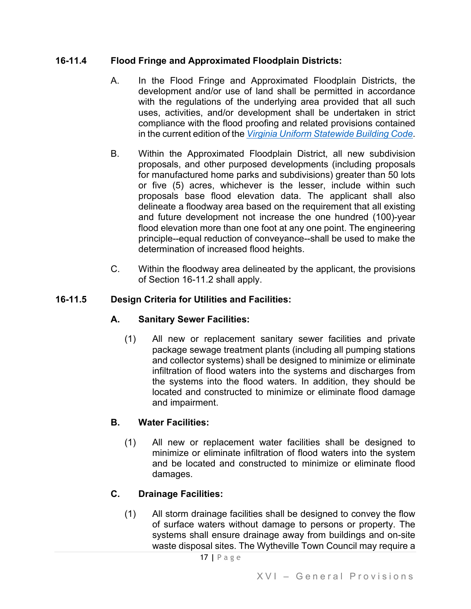## **16-11.4 Flood Fringe and Approximated Floodplain Districts:**

- A. In the Flood Fringe and Approximated Floodplain Districts, the development and/or use of land shall be permitted in accordance with the regulations of the underlying area provided that all such uses, activities, and/or development shall be undertaken in strict compliance with the flood proofing and related provisions contained in the current edition of the *[Virginia Uniform Statewide Building Code](https://codes.iccsafe.org/codes/virginia)*.
- B. Within the Approximated Floodplain District, all new subdivision proposals, and other purposed developments (including proposals for manufactured home parks and subdivisions) greater than 50 lots or five (5) acres, whichever is the lesser, include within such proposals base flood elevation data. The applicant shall also delineate a floodway area based on the requirement that all existing and future development not increase the one hundred (100)-year flood elevation more than one foot at any one point. The engineering principle--equal reduction of conveyance--shall be used to make the determination of increased flood heights.
- C. Within the floodway area delineated by the applicant, the provisions of Section 16-11.2 shall apply.

## **16-11.5 Design Criteria for Utilities and Facilities:**

## **A. Sanitary Sewer Facilities:**

(1) All new or replacement sanitary sewer facilities and private package sewage treatment plants (including all pumping stations and collector systems) shall be designed to minimize or eliminate infiltration of flood waters into the systems and discharges from the systems into the flood waters. In addition, they should be located and constructed to minimize or eliminate flood damage and impairment.

## **B. Water Facilities:**

(1) All new or replacement water facilities shall be designed to minimize or eliminate infiltration of flood waters into the system and be located and constructed to minimize or eliminate flood damages.

# **C. Drainage Facilities:**

(1) All storm drainage facilities shall be designed to convey the flow of surface waters without damage to persons or property. The systems shall ensure drainage away from buildings and on-site waste disposal sites. The Wytheville Town Council may require a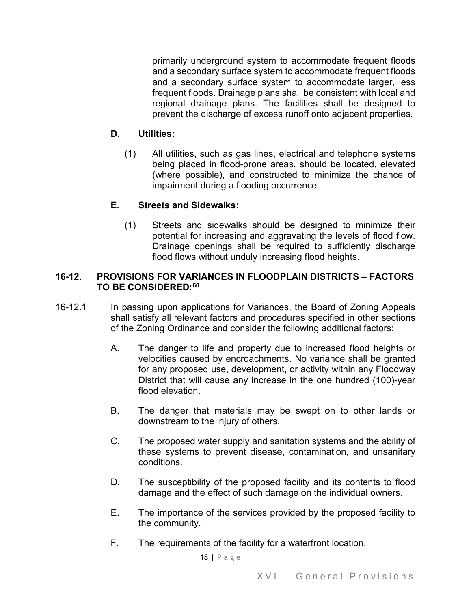primarily underground system to accommodate frequent floods and a secondary surface system to accommodate frequent floods and a secondary surface system to accommodate larger, less frequent floods. Drainage plans shall be consistent with local and regional drainage plans. The facilities shall be designed to prevent the discharge of excess runoff onto adjacent properties.

## **D. Utilities:**

(1) All utilities, such as gas lines, electrical and telephone systems being placed in flood-prone areas, should be located, elevated (where possible), and constructed to minimize the chance of impairment during a flooding occurrence.

## **E. Streets and Sidewalks:**

(1) Streets and sidewalks should be designed to minimize their potential for increasing and aggravating the levels of flood flow. Drainage openings shall be required to sufficiently discharge flood flows without unduly increasing flood heights.

#### **16-12. PROVISIONS FOR VARIANCES IN FLOODPLAIN DISTRICTS – FACTORS TO BE CONSIDERED:[60](#page-50-19)**

- 16-12.1 In passing upon applications for Variances, the Board of Zoning Appeals shall satisfy all relevant factors and procedures specified in other sections of the Zoning Ordinance and consider the following additional factors:
	- A. The danger to life and property due to increased flood heights or velocities caused by encroachments. No variance shall be granted for any proposed use, development, or activity within any Floodway District that will cause any increase in the one hundred (100)-year flood elevation.
	- B. The danger that materials may be swept on to other lands or downstream to the injury of others.
	- C. The proposed water supply and sanitation systems and the ability of these systems to prevent disease, contamination, and unsanitary conditions.
	- D. The susceptibility of the proposed facility and its contents to flood damage and the effect of such damage on the individual owners.
	- E. The importance of the services provided by the proposed facility to the community.
	- F. The requirements of the facility for a waterfront location.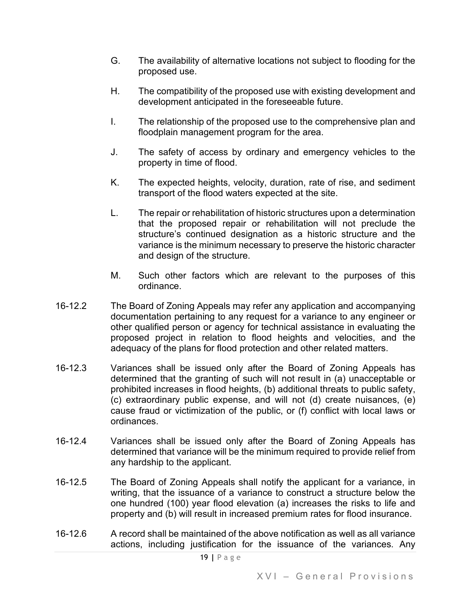- G. The availability of alternative locations not subject to flooding for the proposed use.
- H. The compatibility of the proposed use with existing development and development anticipated in the foreseeable future.
- I. The relationship of the proposed use to the comprehensive plan and floodplain management program for the area.
- J. The safety of access by ordinary and emergency vehicles to the property in time of flood.
- K. The expected heights, velocity, duration, rate of rise, and sediment transport of the flood waters expected at the site.
- L. The repair or rehabilitation of historic structures upon a determination that the proposed repair or rehabilitation will not preclude the structure's continued designation as a historic structure and the variance is the minimum necessary to preserve the historic character and design of the structure.
- M. Such other factors which are relevant to the purposes of this ordinance.
- 16-12.2 The Board of Zoning Appeals may refer any application and accompanying documentation pertaining to any request for a variance to any engineer or other qualified person or agency for technical assistance in evaluating the proposed project in relation to flood heights and velocities, and the adequacy of the plans for flood protection and other related matters.
- 16-12.3 Variances shall be issued only after the Board of Zoning Appeals has determined that the granting of such will not result in (a) unacceptable or prohibited increases in flood heights, (b) additional threats to public safety, (c) extraordinary public expense, and will not (d) create nuisances, (e) cause fraud or victimization of the public, or (f) conflict with local laws or ordinances.
- 16-12.4 Variances shall be issued only after the Board of Zoning Appeals has determined that variance will be the minimum required to provide relief from any hardship to the applicant.
- 16-12.5 The Board of Zoning Appeals shall notify the applicant for a variance, in writing, that the issuance of a variance to construct a structure below the one hundred (100) year flood elevation (a) increases the risks to life and property and (b) will result in increased premium rates for flood insurance.
- 16-12.6 A record shall be maintained of the above notification as well as all variance actions, including justification for the issuance of the variances. Any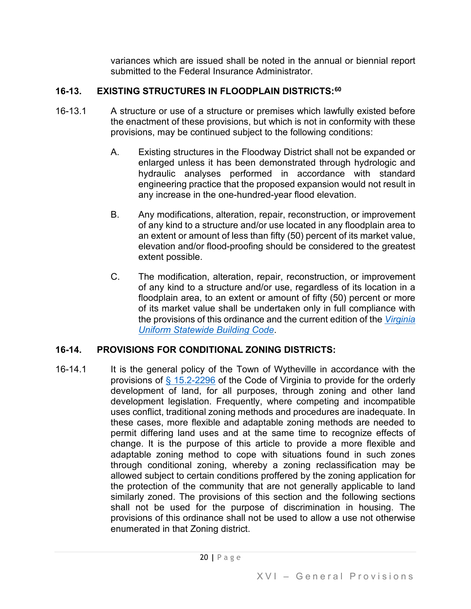variances which are issued shall be noted in the annual or biennial report submitted to the Federal Insurance Administrator.

# **16-13. EXISTING STRUCTURES IN FLOODPLAIN DISTRICTS:[60](#page-50-20)**

- 16-13.1 A structure or use of a structure or premises which lawfully existed before the enactment of these provisions, but which is not in conformity with these provisions, may be continued subject to the following conditions:
	- A. Existing structures in the Floodway District shall not be expanded or enlarged unless it has been demonstrated through hydrologic and hydraulic analyses performed in accordance with standard engineering practice that the proposed expansion would not result in any increase in the one-hundred-year flood elevation.
	- B. Any modifications, alteration, repair, reconstruction, or improvement of any kind to a structure and/or use located in any floodplain area to an extent or amount of less than fifty (50) percent of its market value, elevation and/or flood-proofing should be considered to the greatest extent possible.
	- C. The modification, alteration, repair, reconstruction, or improvement of any kind to a structure and/or use, regardless of its location in a floodplain area, to an extent or amount of fifty (50) percent or more of its market value shall be undertaken only in full compliance with the provisions of this ordinance and the current edition of the *[Virginia](https://codes.iccsafe.org/codes/virginia)  [Uniform Statewide Building Code](https://codes.iccsafe.org/codes/virginia)*.

# **16-14. PROVISIONS FOR CONDITIONAL ZONING DISTRICTS:**

16-14.1 It is the general policy of the Town of Wytheville in accordance with the provisions of  $§$  15.2-2296 of the Code of Virginia to provide for the orderly development of land, for all purposes, through zoning and other land development legislation. Frequently, where competing and incompatible uses conflict, traditional zoning methods and procedures are inadequate. In these cases, more flexible and adaptable zoning methods are needed to permit differing land uses and at the same time to recognize effects of change. It is the purpose of this article to provide a more flexible and adaptable zoning method to cope with situations found in such zones through conditional zoning, whereby a zoning reclassification may be allowed subject to certain conditions proffered by the zoning application for the protection of the community that are not generally applicable to land similarly zoned. The provisions of this section and the following sections shall not be used for the purpose of discrimination in housing. The provisions of this ordinance shall not be used to allow a use not otherwise enumerated in that Zoning district.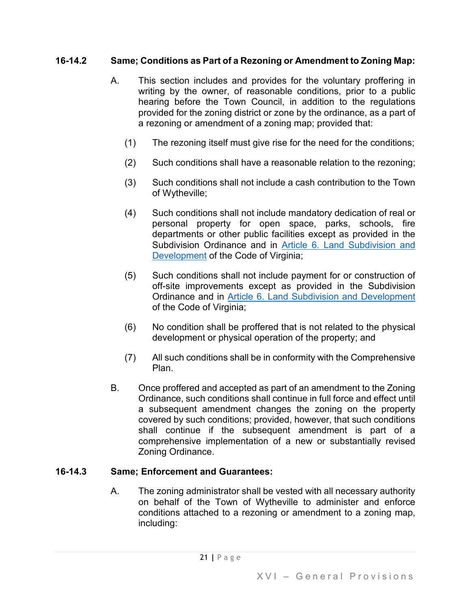## **16-14.2 Same; Conditions as Part of a Rezoning or Amendment to Zoning Map:**

- A. This section includes and provides for the voluntary proffering in writing by the owner, of reasonable conditions, prior to a public hearing before the Town Council, in addition to the regulations provided for the zoning district or zone by the ordinance, as a part of a rezoning or amendment of a zoning map; provided that:
	- (1) The rezoning itself must give rise for the need for the conditions;
	- (2) Such conditions shall have a reasonable relation to the rezoning;
	- (3) Such conditions shall not include a cash contribution to the Town of Wytheville;
	- (4) Such conditions shall not include mandatory dedication of real or personal property for open space, parks, schools, fire departments or other public facilities except as provided in the Subdivision Ordinance and in [Article 6. Land Subdivision and](https://law.lis.virginia.gov/vacodefull/title15.2/chapter22/article6/)  [Development](https://law.lis.virginia.gov/vacodefull/title15.2/chapter22/article6/) of the Code of Virginia;
	- (5) Such conditions shall not include payment for or construction of off-site improvements except as provided in the Subdivision Ordinance and in [Article 6. Land Subdivision and Development](https://law.lis.virginia.gov/vacodefull/title15.2/chapter22/article6/) of the Code of Virginia;
	- (6) No condition shall be proffered that is not related to the physical development or physical operation of the property; and
	- (7) All such conditions shall be in conformity with the Comprehensive Plan.
- B. Once proffered and accepted as part of an amendment to the Zoning Ordinance, such conditions shall continue in full force and effect until a subsequent amendment changes the zoning on the property covered by such conditions; provided, however, that such conditions shall continue if the subsequent amendment is part of a comprehensive implementation of a new or substantially revised Zoning Ordinance.

## **16-14.3 Same; Enforcement and Guarantees:**

A. The zoning administrator shall be vested with all necessary authority on behalf of the Town of Wytheville to administer and enforce conditions attached to a rezoning or amendment to a zoning map, including: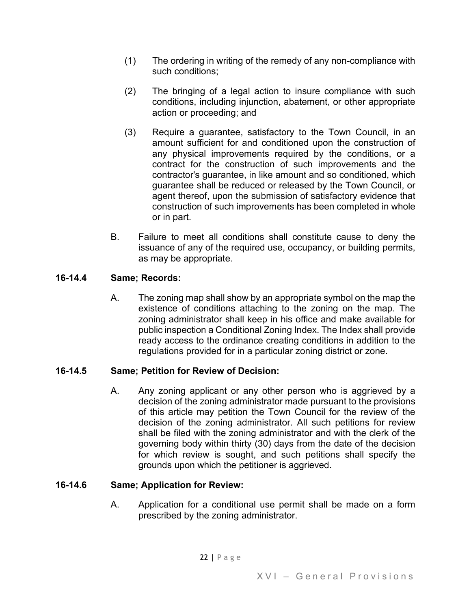- (1) The ordering in writing of the remedy of any non-compliance with such conditions;
- (2) The bringing of a legal action to insure compliance with such conditions, including injunction, abatement, or other appropriate action or proceeding; and
- (3) Require a guarantee, satisfactory to the Town Council, in an amount sufficient for and conditioned upon the construction of any physical improvements required by the conditions, or a contract for the construction of such improvements and the contractor's guarantee, in like amount and so conditioned, which guarantee shall be reduced or released by the Town Council, or agent thereof, upon the submission of satisfactory evidence that construction of such improvements has been completed in whole or in part.
- B. Failure to meet all conditions shall constitute cause to deny the issuance of any of the required use, occupancy, or building permits, as may be appropriate.

# **16-14.4 Same; Records:**

A. The zoning map shall show by an appropriate symbol on the map the existence of conditions attaching to the zoning on the map. The zoning administrator shall keep in his office and make available for public inspection a Conditional Zoning Index. The Index shall provide ready access to the ordinance creating conditions in addition to the regulations provided for in a particular zoning district or zone.

# **16-14.5 Same; Petition for Review of Decision:**

A. Any zoning applicant or any other person who is aggrieved by a decision of the zoning administrator made pursuant to the provisions of this article may petition the Town Council for the review of the decision of the zoning administrator. All such petitions for review shall be filed with the zoning administrator and with the clerk of the governing body within thirty (30) days from the date of the decision for which review is sought, and such petitions shall specify the grounds upon which the petitioner is aggrieved.

## **16-14.6 Same; Application for Review:**

A. Application for a conditional use permit shall be made on a form prescribed by the zoning administrator.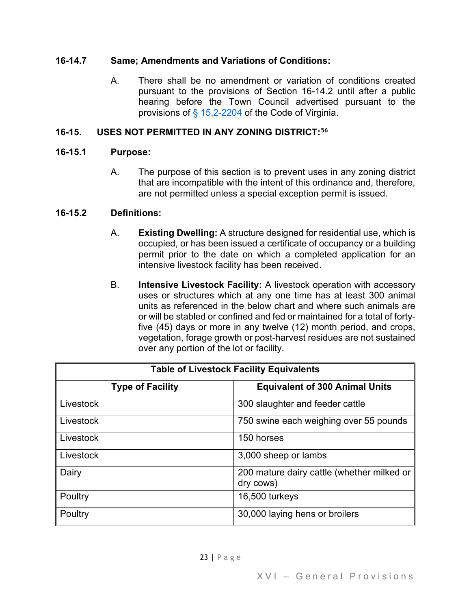## **16-14.7 Same; Amendments and Variations of Conditions:**

A. There shall be no amendment or variation of conditions created pursuant to the provisions of Section 16-14.2 until after a public hearing before the Town Council advertised pursuant to the provisions of [§ 15.2-2204](https://law.lis.virginia.gov/vacode/15.2-2204/) of the Code of Virginia.

## **16-15. USES NOT PERMITTED IN ANY ZONING DISTRICT:[56](#page-50-21)**

## **16-15.1 Purpose:**

A. The purpose of this section is to prevent uses in any zoning district that are incompatible with the intent of this ordinance and, therefore, are not permitted unless a special exception permit is issued.

## **16-15.2 Definitions:**

- A. **Existing Dwelling:** A structure designed for residential use, which is occupied, or has been issued a certificate of occupancy or a building permit prior to the date on which a completed application for an intensive livestock facility has been received.
- B. **Intensive Livestock Facility:** A livestock operation with accessory uses or structures which at any one time has at least 300 animal units as referenced in the below chart and where such animals are or will be stabled or confined and fed or maintained for a total of fortyfive (45) days or more in any twelve (12) month period, and crops, vegetation, forage growth or post-harvest residues are not sustained over any portion of the lot or facility.

| <b>Table of Livestock Facility Equivalents</b> |                                                         |  |
|------------------------------------------------|---------------------------------------------------------|--|
| <b>Type of Facility</b>                        | <b>Equivalent of 300 Animal Units</b>                   |  |
| Livestock                                      | 300 slaughter and feeder cattle                         |  |
| Livestock                                      | 750 swine each weighing over 55 pounds                  |  |
| Livestock                                      | 150 horses                                              |  |
| Livestock                                      | 3,000 sheep or lambs                                    |  |
| Dairy                                          | 200 mature dairy cattle (whether milked or<br>dry cows) |  |
| Poultry                                        | 16,500 turkeys                                          |  |
| Poultry                                        | 30,000 laying hens or broilers                          |  |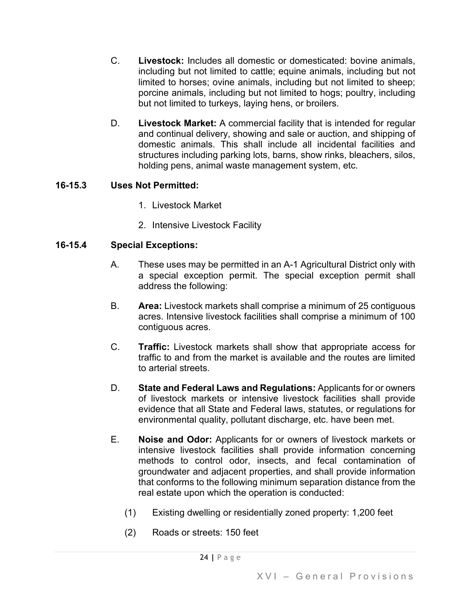- C. **Livestock:** Includes all domestic or domesticated: bovine animals, including but not limited to cattle; equine animals, including but not limited to horses; ovine animals, including but not limited to sheep; porcine animals, including but not limited to hogs; poultry, including but not limited to turkeys, laying hens, or broilers.
- D. **Livestock Market:** A commercial facility that is intended for regular and continual delivery, showing and sale or auction, and shipping of domestic animals. This shall include all incidental facilities and structures including parking lots, barns, show rinks, bleachers, silos, holding pens, animal waste management system, etc.

## **16-15.3 Uses Not Permitted:**

- 1. Livestock Market
- 2. Intensive Livestock Facility

## **16-15.4 Special Exceptions:**

- A. These uses may be permitted in an A-1 Agricultural District only with a special exception permit. The special exception permit shall address the following:
- B. **Area:** Livestock markets shall comprise a minimum of 25 contiguous acres. Intensive livestock facilities shall comprise a minimum of 100 contiguous acres.
- C. **Traffic:** Livestock markets shall show that appropriate access for traffic to and from the market is available and the routes are limited to arterial streets.
- D. **State and Federal Laws and Regulations:** Applicants for or owners of livestock markets or intensive livestock facilities shall provide evidence that all State and Federal laws, statutes, or regulations for environmental quality, pollutant discharge, etc. have been met.
- E. **Noise and Odor:** Applicants for or owners of livestock markets or intensive livestock facilities shall provide information concerning methods to control odor, insects, and fecal contamination of groundwater and adjacent properties, and shall provide information that conforms to the following minimum separation distance from the real estate upon which the operation is conducted:
	- (1) Existing dwelling or residentially zoned property: 1,200 feet
	- (2) Roads or streets: 150 feet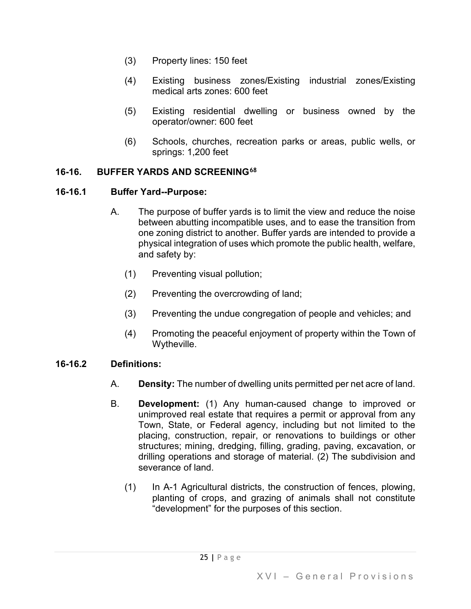- (3) Property lines: 150 feet
- (4) Existing business zones/Existing industrial zones/Existing medical arts zones: 600 feet
- (5) Existing residential dwelling or business owned by the operator/owner: 600 feet
- (6) Schools, churches, recreation parks or areas, public wells, or springs: 1,200 feet

#### **16-16. BUFFER YARDS AND SCREENING[68](#page-50-22)**

#### **16-16.1 Buffer Yard--Purpose:**

- A. The purpose of buffer yards is to limit the view and reduce the noise between abutting incompatible uses, and to ease the transition from one zoning district to another. Buffer yards are intended to provide a physical integration of uses which promote the public health, welfare, and safety by:
	- (1) Preventing visual pollution;
	- (2) Preventing the overcrowding of land;
	- (3) Preventing the undue congregation of people and vehicles; and
	- (4) Promoting the peaceful enjoyment of property within the Town of Wytheville.

#### **16-16.2 Definitions:**

- A. **Density:** The number of dwelling units permitted per net acre of land.
- B. **Development:** (1) Any human-caused change to improved or unimproved real estate that requires a permit or approval from any Town, State, or Federal agency, including but not limited to the placing, construction, repair, or renovations to buildings or other structures; mining, dredging, filling, grading, paving, excavation, or drilling operations and storage of material. (2) The subdivision and severance of land.
	- (1) In A-1 Agricultural districts, the construction of fences, plowing, planting of crops, and grazing of animals shall not constitute "development" for the purposes of this section.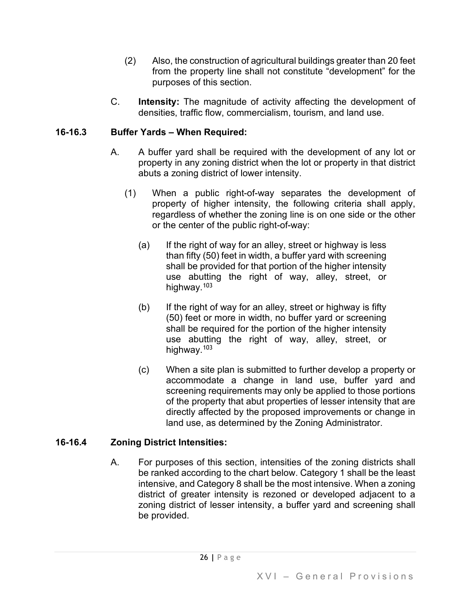- (2) Also, the construction of agricultural buildings greater than 20 feet from the property line shall not constitute "development" for the purposes of this section.
- C. **Intensity:** The magnitude of activity affecting the development of densities, traffic flow, commercialism, tourism, and land use.

## **16-16.3 Buffer Yards – When Required:**

- A. A buffer yard shall be required with the development of any lot or property in any zoning district when the lot or property in that district abuts a zoning district of lower intensity.
	- (1) When a public right-of-way separates the development of property of higher intensity, the following criteria shall apply, regardless of whether the zoning line is on one side or the other or the center of the public right-of-way:
		- (a) If the right of way for an alley, street or highway is less than fifty (50) feet in width, a buffer yard with screening shall be provided for that portion of the higher intensity use abutting the right of way, alley, street, or highway.<sup>[103](#page-50-23)</sup>
		- (b) If the right of way for an alley, street or highway is fifty (50) feet or more in width, no buffer yard or screening shall be required for the portion of the higher intensity use abutting the right of way, alley, street, or highway.<sup>[103](#page-50-24)</sup>
		- (c) When a site plan is submitted to further develop a property or accommodate a change in land use, buffer yard and screening requirements may only be applied to those portions of the property that abut properties of lesser intensity that are directly affected by the proposed improvements or change in land use, as determined by the Zoning Administrator.

## **16-16.4 Zoning District Intensities:**

A. For purposes of this section, intensities of the zoning districts shall be ranked according to the chart below. Category 1 shall be the least intensive, and Category 8 shall be the most intensive. When a zoning district of greater intensity is rezoned or developed adjacent to a zoning district of lesser intensity, a buffer yard and screening shall be provided.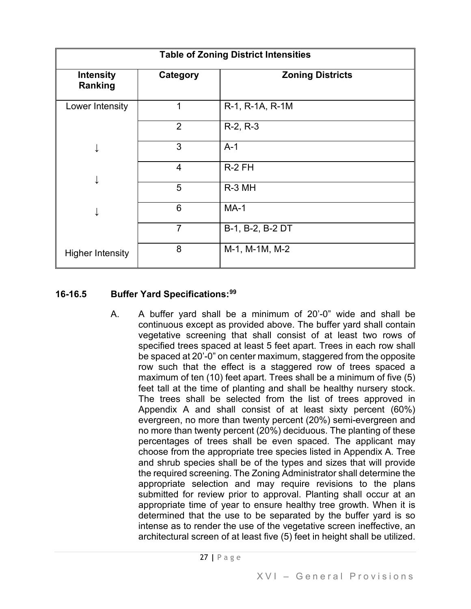| <b>Table of Zoning District Intensities</b> |                |                         |  |  |
|---------------------------------------------|----------------|-------------------------|--|--|
| <b>Intensity</b><br>Ranking                 | Category       | <b>Zoning Districts</b> |  |  |
| Lower Intensity                             | 1              | R-1, R-1A, R-1M         |  |  |
|                                             | $\overline{2}$ | $R-2, R-3$              |  |  |
| ↓                                           | 3              | $A-1$                   |  |  |
|                                             | 4              | $R-2$ FH                |  |  |
|                                             | 5              | R-3 MH                  |  |  |
| ↓                                           | 6              | $MA-1$                  |  |  |
|                                             | $\overline{7}$ | B-1, B-2, B-2 DT        |  |  |
| <b>Higher Intensity</b>                     | 8              | M-1, M-1M, M-2          |  |  |

#### **16-16.5 Buffer Yard Specifications:[99](#page-50-25)**

A. A buffer yard shall be a minimum of 20'-0" wide and shall be continuous except as provided above. The buffer yard shall contain vegetative screening that shall consist of at least two rows of specified trees spaced at least 5 feet apart. Trees in each row shall be spaced at 20'-0" on center maximum, staggered from the opposite row such that the effect is a staggered row of trees spaced a maximum of ten (10) feet apart. Trees shall be a minimum of five (5) feet tall at the time of planting and shall be healthy nursery stock. The trees shall be selected from the list of trees approved in Appendix A and shall consist of at least sixty percent (60%) evergreen, no more than twenty percent (20%) semi-evergreen and no more than twenty percent (20%) deciduous. The planting of these percentages of trees shall be even spaced. The applicant may choose from the appropriate tree species listed in Appendix A. Tree and shrub species shall be of the types and sizes that will provide the required screening. The Zoning Administrator shall determine the appropriate selection and may require revisions to the plans submitted for review prior to approval. Planting shall occur at an appropriate time of year to ensure healthy tree growth. When it is determined that the use to be separated by the buffer yard is so intense as to render the use of the vegetative screen ineffective, an architectural screen of at least five (5) feet in height shall be utilized.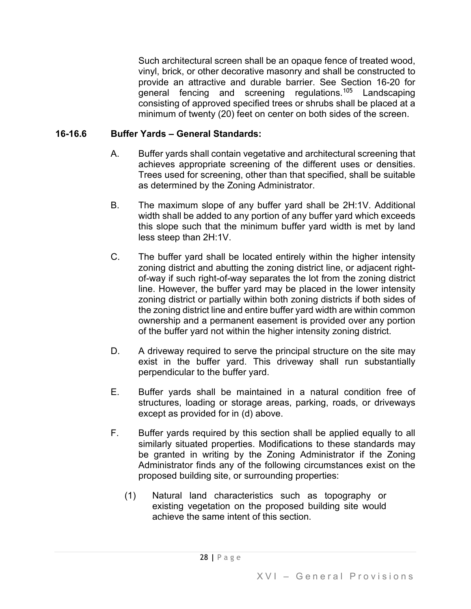Such architectural screen shall be an opaque fence of treated wood, vinyl, brick, or other decorative masonry and shall be constructed to provide an attractive and durable barrier. See Section 16-20 for general fencing and screening regulations.<sup>[105](#page-50-26)</sup> Landscaping consisting of approved specified trees or shrubs shall be placed at a minimum of twenty (20) feet on center on both sides of the screen.

#### **16-16.6 Buffer Yards – General Standards:**

- A. Buffer yards shall contain vegetative and architectural screening that achieves appropriate screening of the different uses or densities. Trees used for screening, other than that specified, shall be suitable as determined by the Zoning Administrator.
- B. The maximum slope of any buffer yard shall be 2H:1V. Additional width shall be added to any portion of any buffer yard which exceeds this slope such that the minimum buffer yard width is met by land less steep than 2H:1V.
- C. The buffer yard shall be located entirely within the higher intensity zoning district and abutting the zoning district line, or adjacent rightof-way if such right-of-way separates the lot from the zoning district line. However, the buffer yard may be placed in the lower intensity zoning district or partially within both zoning districts if both sides of the zoning district line and entire buffer yard width are within common ownership and a permanent easement is provided over any portion of the buffer yard not within the higher intensity zoning district.
- D. A driveway required to serve the principal structure on the site may exist in the buffer yard. This driveway shall run substantially perpendicular to the buffer yard.
- E. Buffer yards shall be maintained in a natural condition free of structures, loading or storage areas, parking, roads, or driveways except as provided for in (d) above.
- F. Buffer yards required by this section shall be applied equally to all similarly situated properties. Modifications to these standards may be granted in writing by the Zoning Administrator if the Zoning Administrator finds any of the following circumstances exist on the proposed building site, or surrounding properties:
	- (1) Natural land characteristics such as topography or existing vegetation on the proposed building site would achieve the same intent of this section.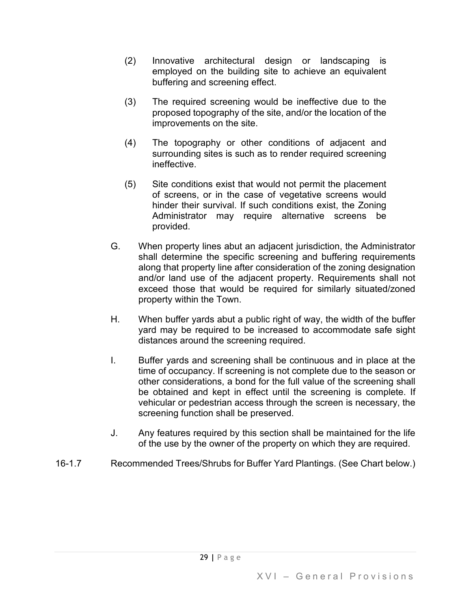- (2) Innovative architectural design or landscaping is employed on the building site to achieve an equivalent buffering and screening effect.
- (3) The required screening would be ineffective due to the proposed topography of the site, and/or the location of the improvements on the site.
- (4) The topography or other conditions of adjacent and surrounding sites is such as to render required screening ineffective.
- (5) Site conditions exist that would not permit the placement of screens, or in the case of vegetative screens would hinder their survival. If such conditions exist, the Zoning Administrator may require alternative screens be provided.
- G. When property lines abut an adjacent jurisdiction, the Administrator shall determine the specific screening and buffering requirements along that property line after consideration of the zoning designation and/or land use of the adjacent property. Requirements shall not exceed those that would be required for similarly situated/zoned property within the Town.
- H. When buffer yards abut a public right of way, the width of the buffer yard may be required to be increased to accommodate safe sight distances around the screening required.
- I. Buffer yards and screening shall be continuous and in place at the time of occupancy. If screening is not complete due to the season or other considerations, a bond for the full value of the screening shall be obtained and kept in effect until the screening is complete. If vehicular or pedestrian access through the screen is necessary, the screening function shall be preserved.
- J. Any features required by this section shall be maintained for the life of the use by the owner of the property on which they are required.
- 16-1.7 Recommended Trees/Shrubs for Buffer Yard Plantings. (See Chart below.)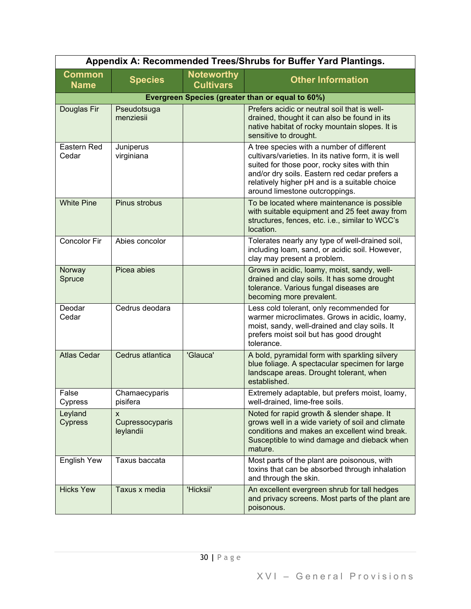|                              |                                   |                                       | Appendix A: Recommended Trees/Shrubs for Buffer Yard Plantings.                                                                                                                                                                                                                      |
|------------------------------|-----------------------------------|---------------------------------------|--------------------------------------------------------------------------------------------------------------------------------------------------------------------------------------------------------------------------------------------------------------------------------------|
| <b>Common</b><br><b>Name</b> | <b>Species</b>                    | <b>Noteworthy</b><br><b>Cultivars</b> | <b>Other Information</b>                                                                                                                                                                                                                                                             |
|                              |                                   |                                       | Evergreen Species (greater than or equal to 60%)                                                                                                                                                                                                                                     |
| Douglas Fir                  | Pseudotsuga<br>menziesii          |                                       | Prefers acidic or neutral soil that is well-<br>drained, thought it can also be found in its<br>native habitat of rocky mountain slopes. It is<br>sensitive to drought.                                                                                                              |
| Eastern Red<br>Cedar         | Juniperus<br>virginiana           |                                       | A tree species with a number of different<br>cultivars/varieties. In its native form, it is well<br>suited for those poor, rocky sites with thin<br>and/or dry soils. Eastern red cedar prefers a<br>relatively higher pH and is a suitable choice<br>around limestone outcroppings. |
| <b>White Pine</b>            | Pinus strobus                     |                                       | To be located where maintenance is possible<br>with suitable equipment and 25 feet away from<br>structures, fences, etc. i.e., similar to WCC's<br>location.                                                                                                                         |
| Concolor Fir                 | Abies concolor                    |                                       | Tolerates nearly any type of well-drained soil,<br>including loam, sand, or acidic soil. However,<br>clay may present a problem.                                                                                                                                                     |
| Norway<br>Spruce             | Picea abies                       |                                       | Grows in acidic, loamy, moist, sandy, well-<br>drained and clay soils. It has some drought<br>tolerance. Various fungal diseases are<br>becoming more prevalent.                                                                                                                     |
| Deodar<br>Cedar              | Cedrus deodara                    |                                       | Less cold tolerant, only recommended for<br>warmer microclimates. Grows in acidic, loamy,<br>moist, sandy, well-drained and clay soils. It<br>prefers moist soil but has good drought<br>tolerance.                                                                                  |
| <b>Atlas Cedar</b>           | Cedrus atlantica                  | 'Glauca'                              | A bold, pyramidal form with sparkling silvery<br>blue foliage. A spectacular specimen for large<br>landscape areas. Drought tolerant, when<br>established.                                                                                                                           |
| False<br>Cypress             | Chamaecyparis<br>pisifera         |                                       | Extremely adaptable, but prefers moist, loamy,<br>well-drained, lime-free soils.                                                                                                                                                                                                     |
| Leyland<br>Cypress           | X<br>Cupressocyparis<br>leylandii |                                       | Noted for rapid growth & slender shape. It<br>grows well in a wide variety of soil and climate<br>conditions and makes an excellent wind break.<br>Susceptible to wind damage and dieback when<br>mature.                                                                            |
| English Yew                  | Taxus baccata                     |                                       | Most parts of the plant are poisonous, with<br>toxins that can be absorbed through inhalation<br>and through the skin.                                                                                                                                                               |
| <b>Hicks Yew</b>             | Taxus x media                     | 'Hicksii'                             | An excellent evergreen shrub for tall hedges<br>and privacy screens. Most parts of the plant are<br>poisonous.                                                                                                                                                                       |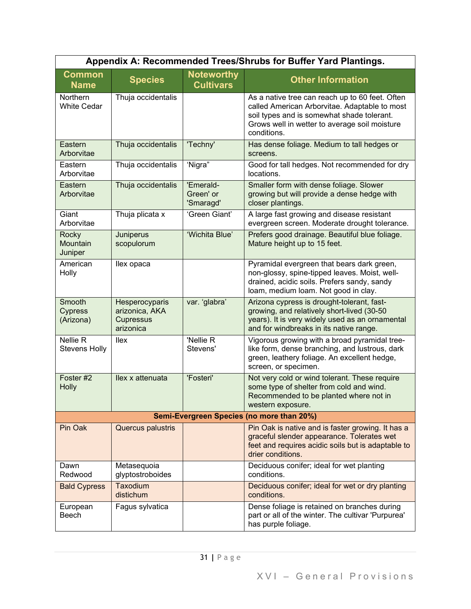|                                       |                                                                   |                                       | Appendix A: Recommended Trees/Shrubs for Buffer Yard Plantings.                                                                                                                                                |
|---------------------------------------|-------------------------------------------------------------------|---------------------------------------|----------------------------------------------------------------------------------------------------------------------------------------------------------------------------------------------------------------|
| <b>Common</b><br><b>Name</b>          | <b>Species</b>                                                    | <b>Noteworthy</b><br><b>Cultivars</b> | <b>Other Information</b>                                                                                                                                                                                       |
| Northern<br><b>White Cedar</b>        | Thuja occidentalis                                                |                                       | As a native tree can reach up to 60 feet. Often<br>called American Arborvitae. Adaptable to most<br>soil types and is somewhat shade tolerant.<br>Grows well in wetter to average soil moisture<br>conditions. |
| Eastern<br>Arborvitae                 | Thuja occidentalis                                                | 'Techny'                              | Has dense foliage. Medium to tall hedges or<br>screens.                                                                                                                                                        |
| Eastern<br>Arborvitae                 | Thuja occidentalis                                                | 'Nigra"                               | Good for tall hedges. Not recommended for dry<br>locations.                                                                                                                                                    |
| Eastern<br>Arborvitae                 | Thuja occidentalis                                                | 'Emerald-<br>Green' or<br>'Smaragd'   | Smaller form with dense foliage. Slower<br>growing but will provide a dense hedge with<br>closer plantings.                                                                                                    |
| Giant<br>Arborvitae                   | Thuja plicata x                                                   | 'Green Giant'                         | A large fast growing and disease resistant<br>evergreen screen. Moderate drought tolerance.                                                                                                                    |
| Rocky<br>Mountain<br>Juniper          | Juniperus<br>scopulorum                                           | 'Wichita Blue'                        | Prefers good drainage. Beautiful blue foliage.<br>Mature height up to 15 feet.                                                                                                                                 |
| American<br>Holly                     | llex opaca                                                        |                                       | Pyramidal evergreen that bears dark green,<br>non-glossy, spine-tipped leaves. Moist, well-<br>drained, acidic soils. Prefers sandy, sandy<br>loam, medium loam. Not good in clay.                             |
| Smooth<br><b>Cypress</b><br>(Arizona) | Hesperocyparis<br>arizonica, AKA<br><b>Cupressus</b><br>arizonica | var. 'glabra'                         | Arizona cypress is drought-tolerant, fast-<br>growing, and relatively short-lived (30-50<br>years). It is very widely used as an ornamental<br>and for windbreaks in its native range.                         |
| Nellie R<br><b>Stevens Holly</b>      | llex                                                              | 'Nellie R<br>Stevens'                 | Vigorous growing with a broad pyramidal tree-<br>like form, dense branching, and lustrous, dark<br>green, leathery foliage. An excellent hedge,<br>screen, or specimen.                                        |
| Foster #2<br><b>Holly</b>             | llex x attenuata                                                  | 'Fosteri'                             | Not very cold or wind tolerant. These require<br>some type of shelter from cold and wind.<br>Recommended to be planted where not in<br>western exposure.                                                       |
|                                       |                                                                   |                                       | Semi-Evergreen Species (no more than 20%)                                                                                                                                                                      |
| Pin Oak                               | Quercus palustris                                                 |                                       | Pin Oak is native and is faster growing. It has a<br>graceful slender appearance. Tolerates wet<br>feet and requires acidic soils but is adaptable to<br>drier conditions.                                     |
| Dawn<br>Redwood                       | Metasequoia<br>glyptostroboides                                   |                                       | Deciduous conifer; ideal for wet planting<br>conditions.                                                                                                                                                       |
| <b>Bald Cypress</b>                   | Taxodium<br>distichum                                             |                                       | Deciduous conifer; ideal for wet or dry planting<br>conditions.                                                                                                                                                |
| European<br>Beech                     | Fagus sylvatica                                                   |                                       | Dense foliage is retained on branches during<br>part or all of the winter. The cultivar 'Purpurea'<br>has purple foliage.                                                                                      |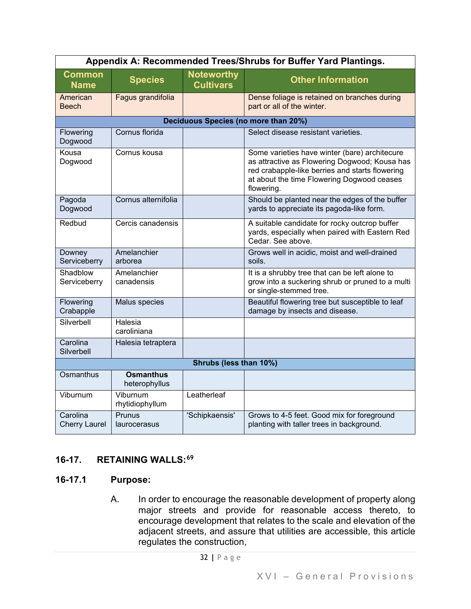|                                  |                                   |                                       | Appendix A: Recommended Trees/Shrubs for Buffer Yard Plantings.                                                                                                                                               |
|----------------------------------|-----------------------------------|---------------------------------------|---------------------------------------------------------------------------------------------------------------------------------------------------------------------------------------------------------------|
| <b>Common</b><br><b>Name</b>     | <b>Species</b>                    | <b>Noteworthy</b><br><b>Cultivars</b> | <b>Other Information</b>                                                                                                                                                                                      |
| American<br><b>Beech</b>         | Fagus grandifolia                 |                                       | Dense foliage is retained on branches during<br>part or all of the winter.                                                                                                                                    |
|                                  |                                   |                                       | Deciduous Species (no more than 20%)                                                                                                                                                                          |
| Flowering<br>Dogwood             | Cornus florida                    |                                       | Select disease resistant varieties.                                                                                                                                                                           |
| Kousa<br>Dogwood                 | Cornus kousa                      |                                       | Some varieties have winter (bare) architecure<br>as attractive as Flowering Dogwood; Kousa has<br>red crabapple-like berries and starts flowering<br>at about the time Flowering Dogwood ceases<br>flowering. |
| Pagoda<br>Dogwood                | Cornus alternifolia               |                                       | Should be planted near the edges of the buffer<br>yards to appreciate its pagoda-like form.                                                                                                                   |
| Redbud                           | Cercis canadensis                 |                                       | A suitable candidate for rocky outcrop buffer<br>yards, especially when paired with Eastern Red<br>Cedar. See above.                                                                                          |
| Downey<br>Serviceberry           | Amelanchier<br>arborea            |                                       | Grows well in acidic, moist and well-drained<br>soils.                                                                                                                                                        |
| Shadblow<br>Serviceberry         | Amelanchier<br>canadensis         |                                       | It is a shrubby tree that can be left alone to<br>grow into a suckering shrub or pruned to a multi<br>or single-stemmed tree.                                                                                 |
| Flowering<br>Crabapple           | Malus species                     |                                       | Beautiful flowering tree but susceptible to leaf<br>damage by insects and disease.                                                                                                                            |
| Silverbell                       | Halesia<br>caroliniana            |                                       |                                                                                                                                                                                                               |
| Carolina<br>Silverbell           | Halesia tetraptera                |                                       |                                                                                                                                                                                                               |
|                                  |                                   | Shrubs (less than 10%)                |                                                                                                                                                                                                               |
| Osmanthus                        | <b>Osmanthus</b><br>heterophyllus |                                       |                                                                                                                                                                                                               |
| Viburnum                         | Viburnum<br>rhytidiophyllum       | Leatherleaf                           |                                                                                                                                                                                                               |
| Carolina<br><b>Cherry Laurel</b> | Prunus<br>laurocerasus            | 'Schipkaensis'                        | Grows to 4-5 feet. Good mix for foreground<br>planting with taller trees in background.                                                                                                                       |

# **16-17. RETAINING WALLS:[69](#page-50-27)**

## **16-17.1 Purpose:**

A. In order to encourage the reasonable development of property along major streets and provide for reasonable access thereto, to encourage development that relates to the scale and elevation of the adjacent streets, and assure that utilities are accessible, this article regulates the construction,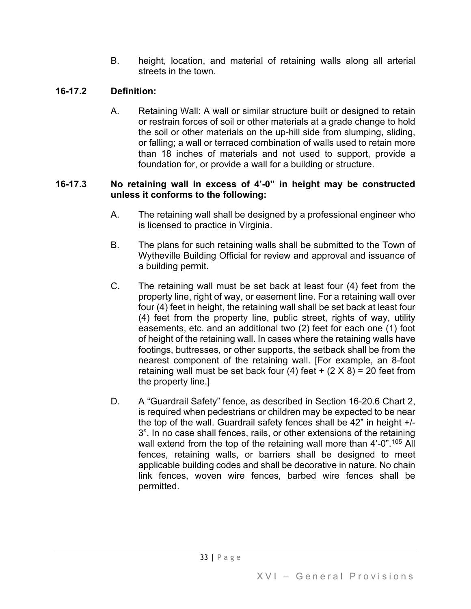B. height, location, and material of retaining walls along all arterial streets in the town.

## **16-17.2 Definition:**

A. Retaining Wall: A wall or similar structure built or designed to retain or restrain forces of soil or other materials at a grade change to hold the soil or other materials on the up-hill side from slumping, sliding, or falling; a wall or terraced combination of walls used to retain more than 18 inches of materials and not used to support, provide a foundation for, or provide a wall for a building or structure.

#### **16-17.3 No retaining wall in excess of 4'-0" in height may be constructed unless it conforms to the following:**

- A. The retaining wall shall be designed by a professional engineer who is licensed to practice in Virginia.
- B. The plans for such retaining walls shall be submitted to the Town of Wytheville Building Official for review and approval and issuance of a building permit.
- C. The retaining wall must be set back at least four (4) feet from the property line, right of way, or easement line. For a retaining wall over four (4) feet in height, the retaining wall shall be set back at least four (4) feet from the property line, public street, rights of way, utility easements, etc. and an additional two (2) feet for each one (1) foot of height of the retaining wall. In cases where the retaining walls have footings, buttresses, or other supports, the setback shall be from the nearest component of the retaining wall. [For example, an 8-foot retaining wall must be set back four (4) feet  $+$  (2  $\times$  8) = 20 feet from the property line.]
- D. A "Guardrail Safety" fence, as described in Section 16-20.6 Chart 2, is required when pedestrians or children may be expected to be near the top of the wall. Guardrail safety fences shall be 42" in height +/- 3". In no case shall fences, rails, or other extensions of the retaining wall extend from the top of the retaining wall more than 4'-0".<sup>105</sup> All fences, retaining walls, or barriers shall be designed to meet applicable building codes and shall be decorative in nature. No chain link fences, woven wire fences, barbed wire fences shall be permitted.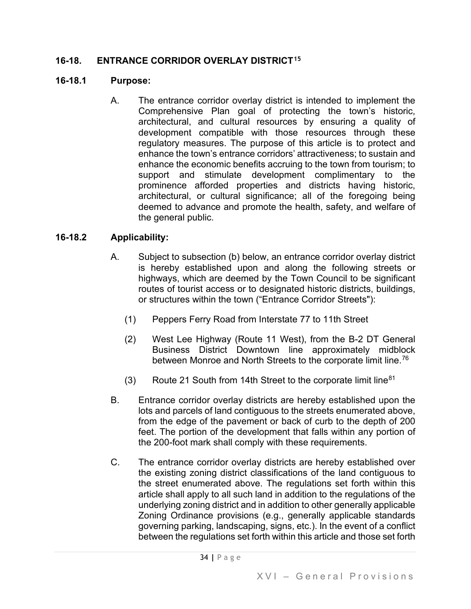## **16-18. ENTRANCE CORRIDOR OVERLAY DISTRICT[15](#page-50-29)**

#### **16-18.1 Purpose:**

A. The entrance corridor overlay district is intended to implement the Comprehensive Plan goal of protecting the town's historic, architectural, and cultural resources by ensuring a quality of development compatible with those resources through these regulatory measures. The purpose of this article is to protect and enhance the town's entrance corridors' attractiveness; to sustain and enhance the economic benefits accruing to the town from tourism; to support and stimulate development complimentary to the prominence afforded properties and districts having historic, architectural, or cultural significance; all of the foregoing being deemed to advance and promote the health, safety, and welfare of the general public.

## **16-18.2 Applicability:**

- A. Subject to subsection (b) below, an entrance corridor overlay district is hereby established upon and along the following streets or highways, which are deemed by the Town Council to be significant routes of tourist access or to designated historic districts, buildings, or structures within the town ("Entrance Corridor Streets"):
	- (1) Peppers Ferry Road from Interstate 77 to 11th Street
	- (2) West Lee Highway (Route 11 West), from the B-2 DT General Business District Downtown line approximately midblock between Monroe and North Streets to the corporate limit line.<sup>[76](#page-50-30)</sup>
	- (3) Route 21 South from 14th Street to the corporate limit line  $81$
- B. Entrance corridor overlay districts are hereby established upon the lots and parcels of land contiguous to the streets enumerated above, from the edge of the pavement or back of curb to the depth of 200 feet. The portion of the development that falls within any portion of the 200-foot mark shall comply with these requirements.
- C. The entrance corridor overlay districts are hereby established over the existing zoning district classifications of the land contiguous to the street enumerated above. The regulations set forth within this article shall apply to all such land in addition to the regulations of the underlying zoning district and in addition to other generally applicable Zoning Ordinance provisions (e.g., generally applicable standards governing parking, landscaping, signs, etc.). In the event of a conflict between the regulations set forth within this article and those set forth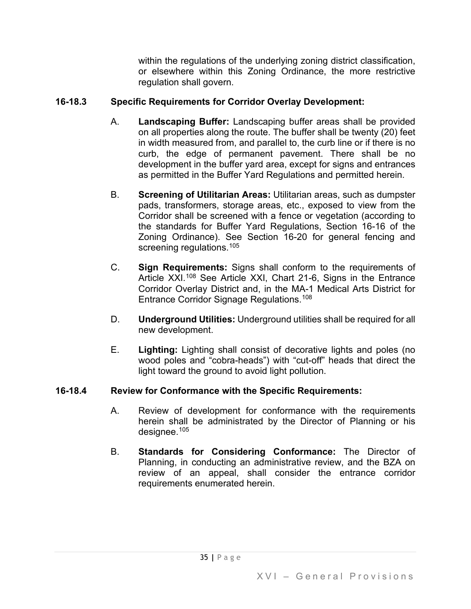within the regulations of the underlying zoning district classification, or elsewhere within this Zoning Ordinance, the more restrictive regulation shall govern.

# **16-18.3 Specific Requirements for Corridor Overlay Development:**

- A. **Landscaping Buffer:** Landscaping buffer areas shall be provided on all properties along the route. The buffer shall be twenty (20) feet in width measured from, and parallel to, the curb line or if there is no curb, the edge of permanent pavement. There shall be no development in the buffer yard area, except for signs and entrances as permitted in the Buffer Yard Regulations and permitted herein.
- B. **Screening of Utilitarian Areas:** Utilitarian areas, such as dumpster pads, transformers, storage areas, etc., exposed to view from the Corridor shall be screened with a fence or vegetation (according to the standards for Buffer Yard Regulations, Section 16-16 of the Zoning Ordinance). See Section 16-20 for general fencing and screening regulations.<sup>[105](#page-50-32)</sup>
- C. **Sign Requirements:** Signs shall conform to the requirements of Article XXI.<sup>[108](#page-50-33)</sup> See Article XXI, Chart 21-6, Signs in the Entrance Corridor Overlay District and, in the MA-1 Medical Arts District for Entrance Corridor Signage Regulations.[108](#page-50-34)
- D. **Underground Utilities:** Underground utilities shall be required for all new development.
- E. **Lighting:** Lighting shall consist of decorative lights and poles (no wood poles and "cobra-heads") with "cut-off" heads that direct the light toward the ground to avoid light pollution.

## **16-18.4 Review for Conformance with the Specific Requirements:**

- A. Review of development for conformance with the requirements herein shall be administrated by the Director of Planning or his designee.[105](#page-50-35)
- B. **Standards for Considering Conformance:** The Director of Planning, in conducting an administrative review, and the BZA on review of an appeal, shall consider the entrance corridor requirements enumerated herein.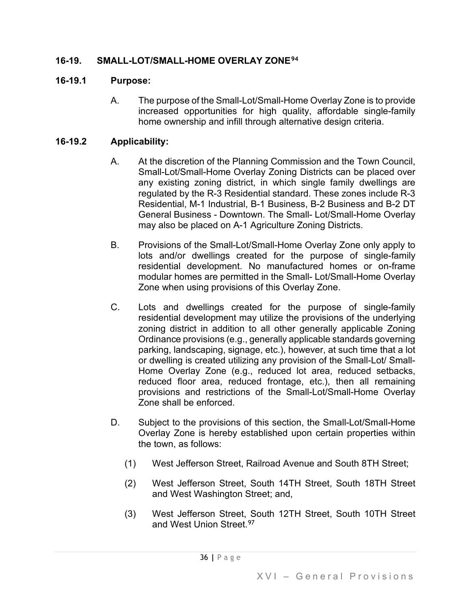## **16-19. SMALL-LOT/SMALL-HOME OVERLAY ZONE[94](#page-50-36)**

## **16-19.1 Purpose:**

A. The purpose of the Small-Lot/Small-Home Overlay Zone is to provide increased opportunities for high quality, affordable single-family home ownership and infill through alternative design criteria.

## **16-19.2 Applicability:**

- A. At the discretion of the Planning Commission and the Town Council, Small-Lot/Small-Home Overlay Zoning Districts can be placed over any existing zoning district, in which single family dwellings are regulated by the R-3 Residential standard. These zones include R-3 Residential, M-1 Industrial, B-1 Business, B-2 Business and B-2 DT General Business - Downtown. The Small- Lot/Small-Home Overlay may also be placed on A-1 Agriculture Zoning Districts.
- B. Provisions of the Small-Lot/Small-Home Overlay Zone only apply to lots and/or dwellings created for the purpose of single-family residential development. No manufactured homes or on-frame modular homes are permitted in the Small- Lot/Small-Home Overlay Zone when using provisions of this Overlay Zone.
- C. Lots and dwellings created for the purpose of single-family residential development may utilize the provisions of the underlying zoning district in addition to all other generally applicable Zoning Ordinance provisions (e.g., generally applicable standards governing parking, landscaping, signage, etc.), however, at such time that a lot or dwelling is created utilizing any provision of the Small-Lot/ Small-Home Overlay Zone (e.g., reduced lot area, reduced setbacks, reduced floor area, reduced frontage, etc.), then all remaining provisions and restrictions of the Small-Lot/Small-Home Overlay Zone shall be enforced.
- D. Subject to the provisions of this section, the Small-Lot/Small-Home Overlay Zone is hereby established upon certain properties within the town, as follows:
	- (1) West Jefferson Street, Railroad Avenue and South 8TH Street;
	- (2) West Jefferson Street, South 14TH Street, South 18TH Street and West Washington Street; and,
	- (3) West Jefferson Street, South 12TH Street, South 10TH Street and West Union Street.<sup>[97](#page-50-37)</sup>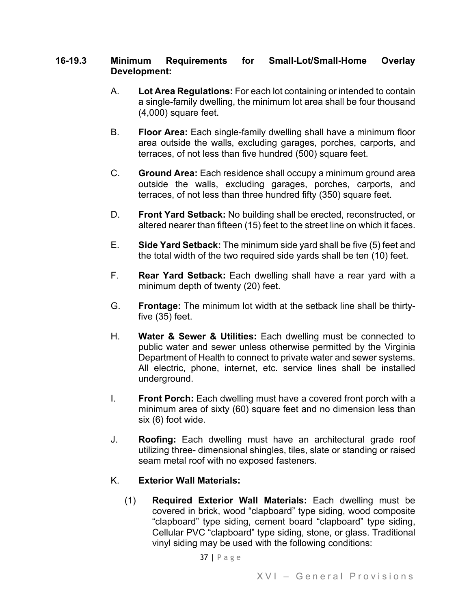#### **16-19.3 Minimum Requirements for Small-Lot/Small-Home Overlay Development:**

- A. **Lot Area Regulations:** For each lot containing or intended to contain a single-family dwelling, the minimum lot area shall be four thousand (4,000) square feet.
- B. **Floor Area:** Each single-family dwelling shall have a minimum floor area outside the walls, excluding garages, porches, carports, and terraces, of not less than five hundred (500) square feet.
- C. **Ground Area:** Each residence shall occupy a minimum ground area outside the walls, excluding garages, porches, carports, and terraces, of not less than three hundred fifty (350) square feet.
- D. **Front Yard Setback:** No building shall be erected, reconstructed, or altered nearer than fifteen (15) feet to the street line on which it faces.
- E. **Side Yard Setback:** The minimum side yard shall be five (5) feet and the total width of the two required side yards shall be ten (10) feet.
- F. **Rear Yard Setback:** Each dwelling shall have a rear yard with a minimum depth of twenty (20) feet.
- G. **Frontage:** The minimum lot width at the setback line shall be thirtyfive (35) feet.
- H. **Water & Sewer & Utilities:** Each dwelling must be connected to public water and sewer unless otherwise permitted by the Virginia Department of Health to connect to private water and sewer systems. All electric, phone, internet, etc. service lines shall be installed underground.
- I. **Front Porch:** Each dwelling must have a covered front porch with a minimum area of sixty (60) square feet and no dimension less than six (6) foot wide.
- J. **Roofing:** Each dwelling must have an architectural grade roof utilizing three- dimensional shingles, tiles, slate or standing or raised seam metal roof with no exposed fasteners.

# K. **Exterior Wall Materials:**

(1) **Required Exterior Wall Materials:** Each dwelling must be covered in brick, wood "clapboard" type siding, wood composite "clapboard" type siding, cement board "clapboard" type siding, Cellular PVC "clapboard" type siding, stone, or glass. Traditional vinyl siding may be used with the following conditions: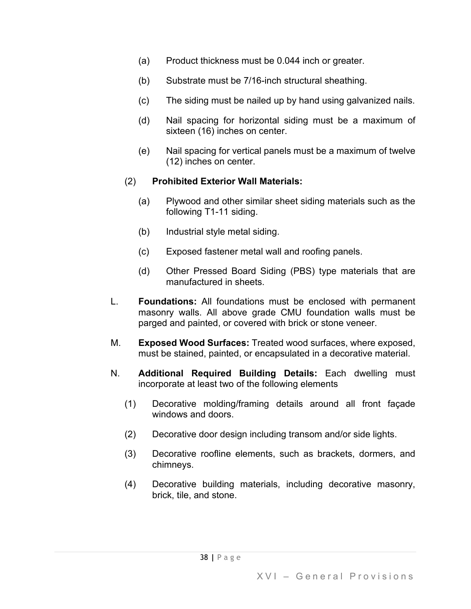- (a) Product thickness must be 0.044 inch or greater.
- (b) Substrate must be 7/16-inch structural sheathing.
- (c) The siding must be nailed up by hand using galvanized nails.
- (d) Nail spacing for horizontal siding must be a maximum of sixteen (16) inches on center.
- (e) Nail spacing for vertical panels must be a maximum of twelve (12) inches on center.

## (2) **Prohibited Exterior Wall Materials:**

- (a) Plywood and other similar sheet siding materials such as the following T1-11 siding.
- (b) Industrial style metal siding.
- (c) Exposed fastener metal wall and roofing panels.
- (d) Other Pressed Board Siding (PBS) type materials that are manufactured in sheets.
- L. **Foundations:** All foundations must be enclosed with permanent masonry walls. All above grade CMU foundation walls must be parged and painted, or covered with brick or stone veneer.
- M. **Exposed Wood Surfaces:** Treated wood surfaces, where exposed, must be stained, painted, or encapsulated in a decorative material.
- N. **Additional Required Building Details:** Each dwelling must incorporate at least two of the following elements
	- (1) Decorative molding/framing details around all front façade windows and doors.
	- (2) Decorative door design including transom and/or side lights.
	- (3) Decorative roofline elements, such as brackets, dormers, and chimneys.
	- (4) Decorative building materials, including decorative masonry, brick, tile, and stone.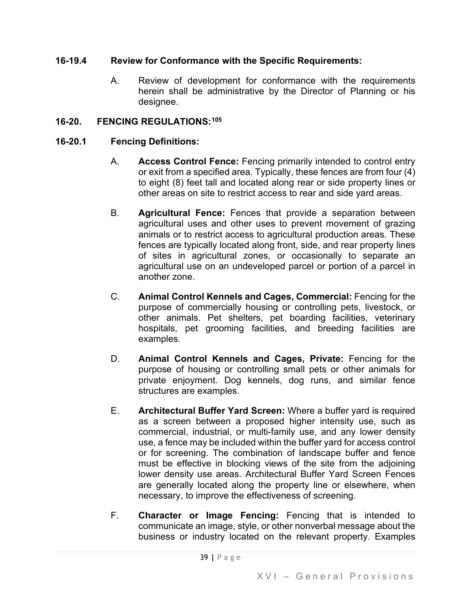## **16-19.4 Review for Conformance with the Specific Requirements:**

A. Review of development for conformance with the requirements herein shall be administrative by the Director of Planning or his designee.

## **16-20. FENCING REGULATIONS:[105](#page-50-38)**

## **16-20.1 Fencing Definitions:**

- A. **Access Control Fence:** Fencing primarily intended to control entry or exit from a specified area. Typically, these fences are from four (4) to eight (8) feet tall and located along rear or side property lines or other areas on site to restrict access to rear and side yard areas.
- B. **Agricultural Fence:** Fences that provide a separation between agricultural uses and other uses to prevent movement of grazing animals or to restrict access to agricultural production areas. These fences are typically located along front, side, and rear property lines of sites in agricultural zones, or occasionally to separate an agricultural use on an undeveloped parcel or portion of a parcel in another zone.
- C. **Animal Control Kennels and Cages, Commercial:** Fencing for the purpose of commercially housing or controlling pets, livestock, or other animals. Pet shelters, pet boarding facilities, veterinary hospitals, pet grooming facilities, and breeding facilities are examples.
- D. **Animal Control Kennels and Cages, Private:** Fencing for the purpose of housing or controlling small pets or other animals for private enjoyment. Dog kennels, dog runs, and similar fence structures are examples.
- E. **Architectural Buffer Yard Screen:** Where a buffer yard is required as a screen between a proposed higher intensity use, such as commercial, industrial, or multi-family use, and any lower density use, a fence may be included within the buffer yard for access control or for screening. The combination of landscape buffer and fence must be effective in blocking views of the site from the adjoining lower density use areas. Architectural Buffer Yard Screen Fences are generally located along the property line or elsewhere, when necessary, to improve the effectiveness of screening.
- F. **Character or Image Fencing:** Fencing that is intended to communicate an image, style, or other nonverbal message about the business or industry located on the relevant property. Examples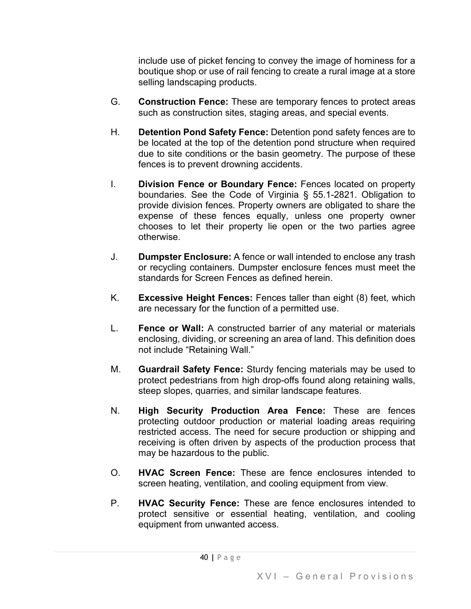include use of picket fencing to convey the image of hominess for a boutique shop or use of rail fencing to create a rural image at a store selling landscaping products.

- G. **Construction Fence:** These are temporary fences to protect areas such as construction sites, staging areas, and special events.
- H. **Detention Pond Safety Fence:** Detention pond safety fences are to be located at the top of the detention pond structure when required due to site conditions or the basin geometry. The purpose of these fences is to prevent drowning accidents.
- I. **Division Fence or Boundary Fence:** Fences located on property boundaries. See the Code of Virginia § 55.1-2821. Obligation to provide division fences. Property owners are obligated to share the expense of these fences equally, unless one property owner chooses to let their property lie open or the two parties agree otherwise.
- J. **Dumpster Enclosure:** A fence or wall intended to enclose any trash or recycling containers. Dumpster enclosure fences must meet the standards for Screen Fences as defined herein.
- K. **Excessive Height Fences:** Fences taller than eight (8) feet, which are necessary for the function of a permitted use.
- L. **Fence or Wall:** A constructed barrier of any material or materials enclosing, dividing, or screening an area of land. This definition does not include "Retaining Wall."
- M. **Guardrail Safety Fence:** Sturdy fencing materials may be used to protect pedestrians from high drop-offs found along retaining walls, steep slopes, quarries, and similar landscape features.
- N. **High Security Production Area Fence:** These are fences protecting outdoor production or material loading areas requiring restricted access. The need for secure production or shipping and receiving is often driven by aspects of the production process that may be hazardous to the public.
- O. **HVAC Screen Fence:** These are fence enclosures intended to screen heating, ventilation, and cooling equipment from view.
- P. **HVAC Security Fence:** These are fence enclosures intended to protect sensitive or essential heating, ventilation, and cooling equipment from unwanted access.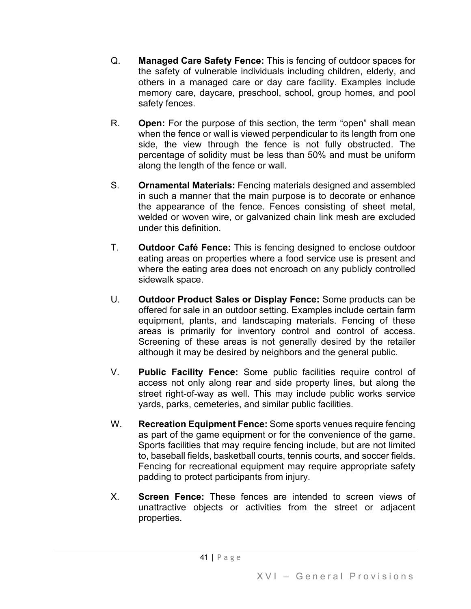- Q. **Managed Care Safety Fence:** This is fencing of outdoor spaces for the safety of vulnerable individuals including children, elderly, and others in a managed care or day care facility. Examples include memory care, daycare, preschool, school, group homes, and pool safety fences.
- R. **Open:** For the purpose of this section, the term "open" shall mean when the fence or wall is viewed perpendicular to its length from one side, the view through the fence is not fully obstructed. The percentage of solidity must be less than 50% and must be uniform along the length of the fence or wall.
- S. **Ornamental Materials:** Fencing materials designed and assembled in such a manner that the main purpose is to decorate or enhance the appearance of the fence. Fences consisting of sheet metal, welded or woven wire, or galvanized chain link mesh are excluded under this definition.
- T. **Outdoor Café Fence:** This is fencing designed to enclose outdoor eating areas on properties where a food service use is present and where the eating area does not encroach on any publicly controlled sidewalk space.
- U. **Outdoor Product Sales or Display Fence:** Some products can be offered for sale in an outdoor setting. Examples include certain farm equipment, plants, and landscaping materials. Fencing of these areas is primarily for inventory control and control of access. Screening of these areas is not generally desired by the retailer although it may be desired by neighbors and the general public.
- V. **Public Facility Fence:** Some public facilities require control of access not only along rear and side property lines, but along the street right-of-way as well. This may include public works service yards, parks, cemeteries, and similar public facilities.
- W. **Recreation Equipment Fence:** Some sports venues require fencing as part of the game equipment or for the convenience of the game. Sports facilities that may require fencing include, but are not limited to, baseball fields, basketball courts, tennis courts, and soccer fields. Fencing for recreational equipment may require appropriate safety padding to protect participants from injury.
- X. **Screen Fence:** These fences are intended to screen views of unattractive objects or activities from the street or adjacent properties.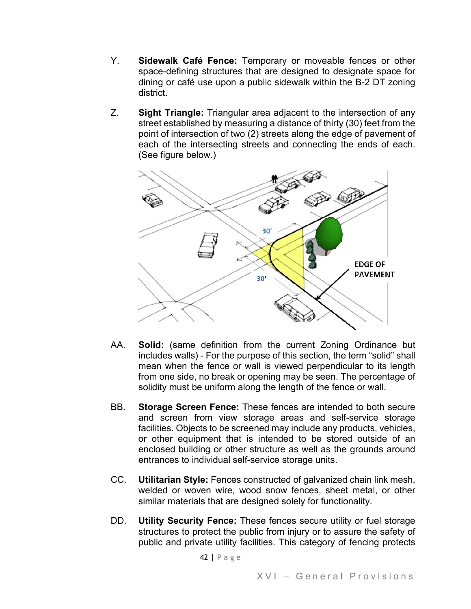- Y. **Sidewalk Café Fence:** Temporary or moveable fences or other space-defining structures that are designed to designate space for dining or café use upon a public sidewalk within the B-2 DT zoning district.
- Z. **Sight Triangle:** Triangular area adjacent to the intersection of any street established by measuring a distance of thirty (30) feet from the point of intersection of two (2) streets along the edge of pavement of each of the intersecting streets and connecting the ends of each. (See figure below.)



- AA. **Solid:** (same definition from the current Zoning Ordinance but includes walls) - For the purpose of this section, the term "solid" shall mean when the fence or wall is viewed perpendicular to its length from one side, no break or opening may be seen. The percentage of solidity must be uniform along the length of the fence or wall.
- BB. **Storage Screen Fence:** These fences are intended to both secure and screen from view storage areas and self-service storage facilities. Objects to be screened may include any products, vehicles, or other equipment that is intended to be stored outside of an enclosed building or other structure as well as the grounds around entrances to individual self-service storage units.
- CC. **Utilitarian Style:** Fences constructed of galvanized chain link mesh, welded or woven wire, wood snow fences, sheet metal, or other similar materials that are designed solely for functionality.
- DD. **Utility Security Fence:** These fences secure utility or fuel storage structures to protect the public from injury or to assure the safety of public and private utility facilities. This category of fencing protects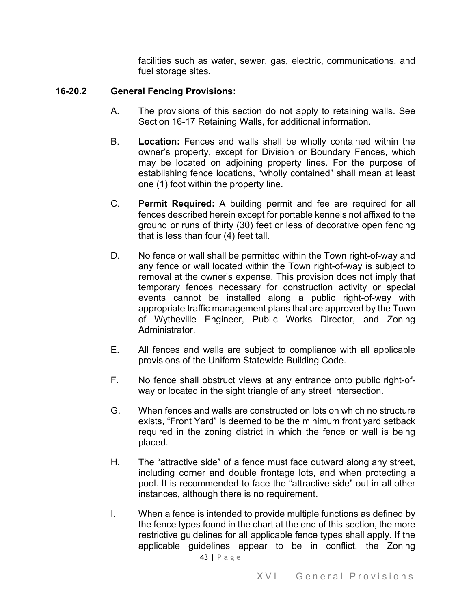facilities such as water, sewer, gas, electric, communications, and fuel storage sites.

## **16-20.2 General Fencing Provisions:**

- A. The provisions of this section do not apply to retaining walls. See Section 16-17 Retaining Walls, for additional information.
- B. **Location:** Fences and walls shall be wholly contained within the owner's property, except for Division or Boundary Fences, which may be located on adjoining property lines. For the purpose of establishing fence locations, "wholly contained" shall mean at least one (1) foot within the property line.
- C. **Permit Required:** A building permit and fee are required for all fences described herein except for portable kennels not affixed to the ground or runs of thirty (30) feet or less of decorative open fencing that is less than four (4) feet tall.
- D. No fence or wall shall be permitted within the Town right-of-way and any fence or wall located within the Town right-of-way is subject to removal at the owner's expense. This provision does not imply that temporary fences necessary for construction activity or special events cannot be installed along a public right-of-way with appropriate traffic management plans that are approved by the Town of Wytheville Engineer, Public Works Director, and Zoning **Administrator**
- E. All fences and walls are subject to compliance with all applicable provisions of the Uniform Statewide Building Code.
- F. No fence shall obstruct views at any entrance onto public right-ofway or located in the sight triangle of any street intersection.
- G. When fences and walls are constructed on lots on which no structure exists, "Front Yard" is deemed to be the minimum front yard setback required in the zoning district in which the fence or wall is being placed.
- H. The "attractive side" of a fence must face outward along any street, including corner and double frontage lots, and when protecting a pool. It is recommended to face the "attractive side" out in all other instances, although there is no requirement.
- I. When a fence is intended to provide multiple functions as defined by the fence types found in the chart at the end of this section, the more restrictive guidelines for all applicable fence types shall apply. If the applicable guidelines appear to be in conflict, the Zoning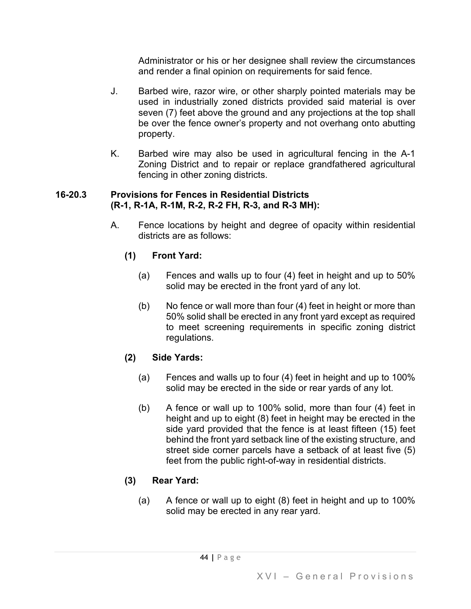Administrator or his or her designee shall review the circumstances and render a final opinion on requirements for said fence.

- J. Barbed wire, razor wire, or other sharply pointed materials may be used in industrially zoned districts provided said material is over seven (7) feet above the ground and any projections at the top shall be over the fence owner's property and not overhang onto abutting property.
- K. Barbed wire may also be used in agricultural fencing in the A-1 Zoning District and to repair or replace grandfathered agricultural fencing in other zoning districts.

#### **16-20.3 Provisions for Fences in Residential Districts (R-1, R-1A, R-1M, R-2, R-2 FH, R-3, and R-3 MH):**

A. Fence locations by height and degree of opacity within residential districts are as follows:

# **(1) Front Yard:**

- (a) Fences and walls up to four (4) feet in height and up to 50% solid may be erected in the front yard of any lot.
- (b) No fence or wall more than four (4) feet in height or more than 50% solid shall be erected in any front yard except as required to meet screening requirements in specific zoning district regulations.

# **(2) Side Yards:**

- (a) Fences and walls up to four (4) feet in height and up to 100% solid may be erected in the side or rear yards of any lot.
- (b) A fence or wall up to 100% solid, more than four (4) feet in height and up to eight (8) feet in height may be erected in the side yard provided that the fence is at least fifteen (15) feet behind the front yard setback line of the existing structure, and street side corner parcels have a setback of at least five (5) feet from the public right-of-way in residential districts.

# **(3) Rear Yard:**

(a) A fence or wall up to eight (8) feet in height and up to 100% solid may be erected in any rear yard.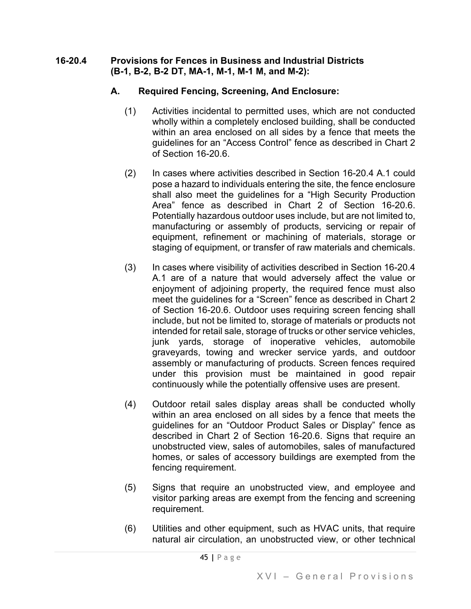#### **16-20.4 Provisions for Fences in Business and Industrial Districts (B-1, B-2, B-2 DT, MA-1, M-1, M-1 M, and M-2):**

## **A. Required Fencing, Screening, And Enclosure:**

- (1) Activities incidental to permitted uses, which are not conducted wholly within a completely enclosed building, shall be conducted within an area enclosed on all sides by a fence that meets the guidelines for an "Access Control" fence as described in Chart 2 of Section 16-20.6.
- (2) In cases where activities described in Section 16-20.4 A.1 could pose a hazard to individuals entering the site, the fence enclosure shall also meet the guidelines for a "High Security Production Area" fence as described in Chart 2 of Section 16-20.6. Potentially hazardous outdoor uses include, but are not limited to, manufacturing or assembly of products, servicing or repair of equipment, refinement or machining of materials, storage or staging of equipment, or transfer of raw materials and chemicals.
- (3) In cases where visibility of activities described in Section 16-20.4 A.1 are of a nature that would adversely affect the value or enjoyment of adjoining property, the required fence must also meet the guidelines for a "Screen" fence as described in Chart 2 of Section 16-20.6. Outdoor uses requiring screen fencing shall include, but not be limited to, storage of materials or products not intended for retail sale, storage of trucks or other service vehicles, junk yards, storage of inoperative vehicles, automobile graveyards, towing and wrecker service yards, and outdoor assembly or manufacturing of products. Screen fences required under this provision must be maintained in good repair continuously while the potentially offensive uses are present.
- (4) Outdoor retail sales display areas shall be conducted wholly within an area enclosed on all sides by a fence that meets the guidelines for an "Outdoor Product Sales or Display" fence as described in Chart 2 of Section 16-20.6. Signs that require an unobstructed view, sales of automobiles, sales of manufactured homes, or sales of accessory buildings are exempted from the fencing requirement.
- (5) Signs that require an unobstructed view, and employee and visitor parking areas are exempt from the fencing and screening requirement.
- (6) Utilities and other equipment, such as HVAC units, that require natural air circulation, an unobstructed view, or other technical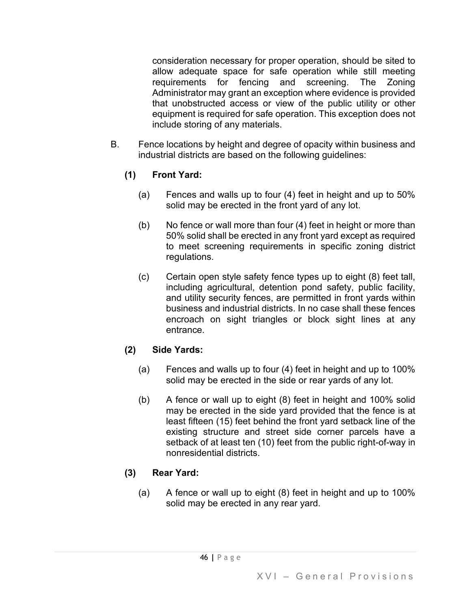consideration necessary for proper operation, should be sited to allow adequate space for safe operation while still meeting requirements for fencing and screening. The Zoning Administrator may grant an exception where evidence is provided that unobstructed access or view of the public utility or other equipment is required for safe operation. This exception does not include storing of any materials.

B. Fence locations by height and degree of opacity within business and industrial districts are based on the following guidelines:

# **(1) Front Yard:**

- (a) Fences and walls up to four (4) feet in height and up to 50% solid may be erected in the front yard of any lot.
- (b) No fence or wall more than four (4) feet in height or more than 50% solid shall be erected in any front yard except as required to meet screening requirements in specific zoning district regulations.
- (c) Certain open style safety fence types up to eight (8) feet tall, including agricultural, detention pond safety, public facility, and utility security fences, are permitted in front yards within business and industrial districts. In no case shall these fences encroach on sight triangles or block sight lines at any entrance.

# **(2) Side Yards:**

- (a) Fences and walls up to four (4) feet in height and up to 100% solid may be erected in the side or rear yards of any lot.
- (b) A fence or wall up to eight (8) feet in height and 100% solid may be erected in the side yard provided that the fence is at least fifteen (15) feet behind the front yard setback line of the existing structure and street side corner parcels have a setback of at least ten (10) feet from the public right-of-way in nonresidential districts.

# **(3) Rear Yard:**

(a) A fence or wall up to eight (8) feet in height and up to 100% solid may be erected in any rear yard.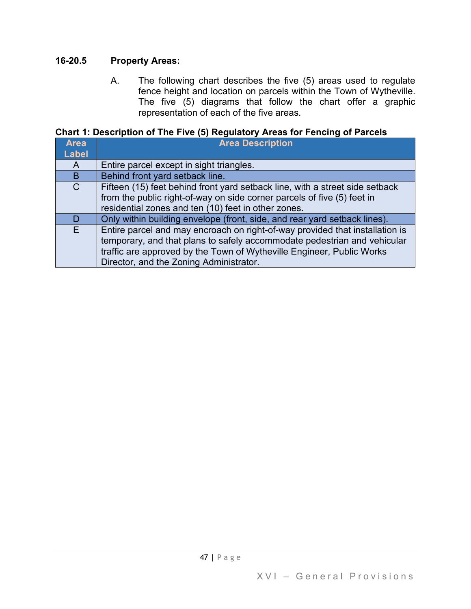## **16-20.5 Property Areas:**

A. The following chart describes the five (5) areas used to regulate fence height and location on parcels within the Town of Wytheville. The five (5) diagrams that follow the chart offer a graphic representation of each of the five areas.

**Chart 1: Description of The Five (5) Regulatory Areas for Fencing of Parcels**

| <b>Area</b>   | <b>Area Description</b>                                                      |
|---------------|------------------------------------------------------------------------------|
| <b>Label</b>  |                                                                              |
| A             | Entire parcel except in sight triangles.                                     |
| B             | Behind front yard setback line.                                              |
| $\mathcal{C}$ | Fifteen (15) feet behind front yard setback line, with a street side setback |
|               | from the public right-of-way on side corner parcels of five (5) feet in      |
|               | residential zones and ten (10) feet in other zones.                          |
| D             | Only within building envelope (front, side, and rear yard setback lines).    |
| F.            | Entire parcel and may encroach on right-of-way provided that installation is |
|               | temporary, and that plans to safely accommodate pedestrian and vehicular     |
|               | traffic are approved by the Town of Wytheville Engineer, Public Works        |
|               | Director, and the Zoning Administrator.                                      |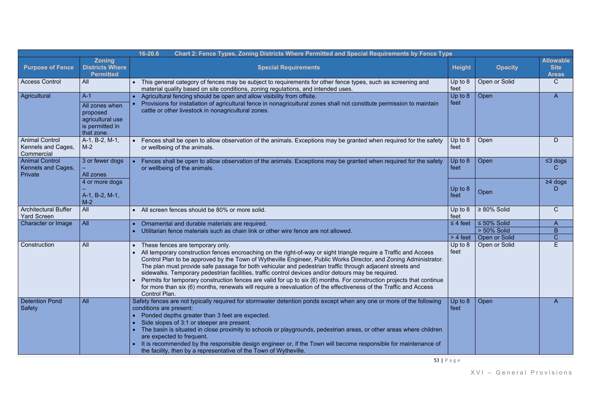|                                                           |                                                                                          | Chart 2: Fence Types, Zoning Districts Where Permitted and Special Requirements by Fence Type<br>16-20.6                                                                                                                                                                                                                                                                                                                                                                                                                                                                                                                                                                                                                                                    |                             |                                                   |                                                 |
|-----------------------------------------------------------|------------------------------------------------------------------------------------------|-------------------------------------------------------------------------------------------------------------------------------------------------------------------------------------------------------------------------------------------------------------------------------------------------------------------------------------------------------------------------------------------------------------------------------------------------------------------------------------------------------------------------------------------------------------------------------------------------------------------------------------------------------------------------------------------------------------------------------------------------------------|-----------------------------|---------------------------------------------------|-------------------------------------------------|
| <b>Purpose of Fence</b>                                   | <b>Zoning</b><br><b>Districts Where</b><br><b>Permitted</b>                              | <b>Special Requirements</b>                                                                                                                                                                                                                                                                                                                                                                                                                                                                                                                                                                                                                                                                                                                                 | <b>Height</b>               | <b>Opacity</b>                                    | <b>Allowable</b><br><b>Site</b><br><b>Areas</b> |
| <b>Access Control</b>                                     | All                                                                                      | This general category of fences may be subject to requirements for other fence types, such as screening and<br>material quality based on site conditions, zoning regulations, and intended uses.                                                                                                                                                                                                                                                                                                                                                                                                                                                                                                                                                            | Up to $8$<br>feet           | Open or Solid                                     | C                                               |
| Agricultural                                              | $A-1$<br>All zones when<br>proposed<br>agricultural use<br>is permitted in<br>that zone. | Agricultural fencing should be open and allow visibility from offsite.<br>Provisions for installation of agricultural fence in nonagricultural zones shall not constitute permission to maintain<br>cattle or other livestock in nonagricultural zones.                                                                                                                                                                                                                                                                                                                                                                                                                                                                                                     | Up to 8<br>feet             | Open                                              | A                                               |
| <b>Animal Control</b><br>Kennels and Cages,<br>Commercial | A-1, B-2, M-1,<br>$M-2$                                                                  | Fences shall be open to allow observation of the animals. Exceptions may be granted when required for the safety<br>or wellbeing of the animals.                                                                                                                                                                                                                                                                                                                                                                                                                                                                                                                                                                                                            | Up to $8$<br>feet           | Open                                              | D                                               |
| <b>Animal Control</b><br>Kennels and Cages,<br>Private    | 3 or fewer dogs<br>All zones                                                             | Fences shall be open to allow observation of the animals. Exceptions may be granted when required for the safety<br>or wellbeing of the animals.                                                                                                                                                                                                                                                                                                                                                                                                                                                                                                                                                                                                            | Up to $8$<br>feet           | Open                                              | $\leq$ 3 dogs                                   |
|                                                           | 4 or more dogs<br>A-1, B-2, M-1,<br>$M-2$                                                |                                                                                                                                                                                                                                                                                                                                                                                                                                                                                                                                                                                                                                                                                                                                                             | Up to $8$<br>feet           | Open                                              | $\geq$ 4 dogs                                   |
| <b>Architectural Buffer</b><br><b>Yard Screen</b>         | All                                                                                      | All screen fences should be 80% or more solid.                                                                                                                                                                                                                                                                                                                                                                                                                                                                                                                                                                                                                                                                                                              | Up to $8$<br>feet           | $\geq 80\%$ Solid                                 | $\mathsf{C}$                                    |
| Character or Image                                        | All                                                                                      | Ornamental and durable materials are required.<br>Utilitarian fence materials such as chain link or other wire fence are not allowed.                                                                                                                                                                                                                                                                                                                                                                                                                                                                                                                                                                                                                       | $\leq$ 4 feet<br>$> 4$ feet | $\leq 50\%$ Solid<br>> 50% Solid<br>Open or Solid | A<br>B<br>C                                     |
| Construction                                              | All                                                                                      | These fences are temporary only.<br>All temporary construction fences encroaching on the right-of-way or sight triangle require a Traffic and Access<br>Control Plan to be approved by the Town of Wytheville Engineer, Public Works Director, and Zoning Administrator.<br>The plan must provide safe passage for both vehicular and pedestrian traffic through adjacent streets and<br>sidewalks. Temporary pedestrian facilities, traffic control devices and/or detours may be required.<br>Permits for temporary construction fences are valid for up to six (6) months. For construction projects that continue<br>for more than six (6) months, renewals will require a reevaluation of the effectiveness of the Traffic and Access<br>Control Plan. | Up to $8$<br>feet           | Open or Solid                                     | Е                                               |
| <b>Detention Pond</b><br>Safety                           | All                                                                                      | Safety fences are not typically required for stormwater detention ponds except when any one or more of the following<br>conditions are present:<br>Ponded depths greater than 3 feet are expected.<br>Side slopes of 3:1 or steeper are present.<br>The basin is situated in close proximity to schools or playgrounds, pedestrian areas, or other areas where children<br>are expected to frequent.<br>It is recommended by the responsible design engineer or, if the Town will become responsible for maintenance of<br>the facility, then by a representative of the Town of Wytheville.                                                                                                                                                                | Up to 8<br>feet             | Open                                              | A                                               |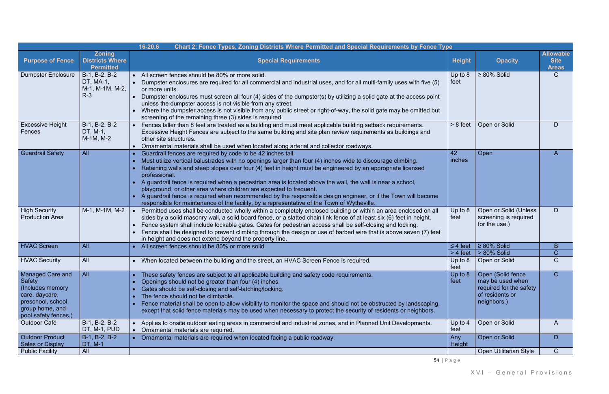|                                                                                                                                          |                                                             | Chart 2: Fence Types, Zoning Districts Where Permitted and Special Requirements by Fence Type<br>16-20.6                                                                                                                                                                                                                                                                                                                                                                                                                                                                                                                                                                                                       |                                 |                                                                                                    |                                                 |
|------------------------------------------------------------------------------------------------------------------------------------------|-------------------------------------------------------------|----------------------------------------------------------------------------------------------------------------------------------------------------------------------------------------------------------------------------------------------------------------------------------------------------------------------------------------------------------------------------------------------------------------------------------------------------------------------------------------------------------------------------------------------------------------------------------------------------------------------------------------------------------------------------------------------------------------|---------------------------------|----------------------------------------------------------------------------------------------------|-------------------------------------------------|
| <b>Purpose of Fence</b>                                                                                                                  | <b>Zoning</b><br><b>Districts Where</b><br><b>Permitted</b> | <b>Special Requirements</b>                                                                                                                                                                                                                                                                                                                                                                                                                                                                                                                                                                                                                                                                                    | <b>Height</b>                   | <b>Opacity</b>                                                                                     | <b>Allowable</b><br><b>Site</b><br><b>Areas</b> |
| <b>Dumpster Enclosure</b>                                                                                                                | B-1, B-2, B-2<br>DT, MA-1,<br>M-1, M-1M, M-2,<br>$R-3$      | All screen fences should be 80% or more solid.<br>Dumpster enclosures are required for all commercial and industrial uses, and for all multi-family uses with five (5)<br>or more units.<br>Dumpster enclosures must screen all four (4) sides of the dumpster(s) by utilizing a solid gate at the access point<br>unless the dumpster access is not visible from any street.<br>Where the dumpster access is not visible from any public street or right-of-way, the solid gate may be omitted but<br>screening of the remaining three (3) sides is required.                                                                                                                                                 | Up to $8$<br>feet               | $\geq 80\%$ Solid                                                                                  | $\mathsf{C}$                                    |
| <b>Excessive Height</b><br>Fences                                                                                                        | B-1, B-2, B-2<br>DT, M-1,<br>M-1M, M-2                      | Fences taller than 8 feet are treated as a building and must meet applicable building setback requirements.<br>Excessive Height Fences are subject to the same building and site plan review requirements as buildings and<br>other site structures.<br>Ornamental materials shall be used when located along arterial and collector roadways.                                                                                                                                                                                                                                                                                                                                                                 | $> 8$ feet                      | Open or Solid                                                                                      | D                                               |
| <b>Guardrail Safety</b>                                                                                                                  | All                                                         | Guardrail fences are required by code to be 42 inches tall.<br>Must utilize vertical balustrades with no openings larger than four (4) inches wide to discourage climbing.<br>Retaining walls and steep slopes over four (4) feet in height must be engineered by an appropriate licensed<br>professional.<br>A guardrail fence is required when a pedestrian area is located above the wall, the wall is near a school,<br>playground, or other area where children are expected to frequent.<br>A guardrail fence is required when recommended by the responsible design engineer, or if the Town will become<br>responsible for maintenance of the facility, by a representative of the Town of Wytheville. | 42<br>inches                    | Open                                                                                               | $\mathsf{A}$                                    |
| <b>High Security</b><br><b>Production Area</b>                                                                                           | M-1, M-1M, M-2                                              | Permitted uses shall be conducted wholly within a completely enclosed building or within an area enclosed on all<br>sides by a solid masonry wall, a solid board fence, or a slatted chain link fence of at least six (6) feet in height.<br>Fence system shall include lockable gates. Gates for pedestrian access shall be self-closing and locking.<br>Fence shall be designed to prevent climbing through the design or use of barbed wire that is above seven (7) feet<br>in height and does not extend beyond the property line.                                                                                                                                                                         | Up to $8$<br>feet               | Open or Solid (Unless<br>screening is required<br>for the use.)                                    | D                                               |
| <b>HVAC Screen</b>                                                                                                                       | All                                                         | All screen fences should be 80% or more solid.                                                                                                                                                                                                                                                                                                                                                                                                                                                                                                                                                                                                                                                                 | $\leq$ 4 feet                   | $\geq 80\%$ Solid                                                                                  | B                                               |
| <b>HVAC Security</b>                                                                                                                     | All                                                         | When located between the building and the street, an HVAC Screen Fence is required.                                                                                                                                                                                                                                                                                                                                                                                                                                                                                                                                                                                                                            | $> 4$ feet<br>Up to $8$<br>feet | > 80% Solid<br>Open or Solid                                                                       | C<br>$\mathsf{C}$                               |
| <b>Managed Care and</b><br>Safety<br>(Includes memory<br>care, daycare,<br>preschool, school,<br>group home, and<br>pool safety fences.) | All                                                         | These safety fences are subject to all applicable building and safety code requirements.<br>Openings should not be greater than four (4) inches.<br>Gates should be self-closing and self-latching/locking.<br>The fence should not be climbable.<br>Fence material shall be open to allow visibility to monitor the space and should not be obstructed by landscaping,<br>except that solid fence materials may be used when necessary to protect the security of residents or neighbors.                                                                                                                                                                                                                     | Up to $8$<br>feet               | Open (Solid fence<br>may be used when<br>required for the safety<br>of residents or<br>neighbors.) | $\mathsf{C}$                                    |
| Outdoor Café                                                                                                                             | B-1, B-2, B-2<br>DT, M-1, PUD                               | Applies to onsite outdoor eating areas in commercial and industrial zones, and in Planned Unit Developments.<br>Ornamental materials are required.<br>$\bullet$                                                                                                                                                                                                                                                                                                                                                                                                                                                                                                                                                | Up to $4$<br>feet               | Open or Solid                                                                                      | A                                               |
| <b>Outdoor Product</b><br><b>Sales or Display</b>                                                                                        | B-1, B-2, B-2<br>DT, M-1<br>All                             | Ornamental materials are required when located facing a public roadway.<br>$\bullet$                                                                                                                                                                                                                                                                                                                                                                                                                                                                                                                                                                                                                           | Any<br>Height                   | Open or Solid                                                                                      | D                                               |
| <b>Public Facility</b>                                                                                                                   |                                                             |                                                                                                                                                                                                                                                                                                                                                                                                                                                                                                                                                                                                                                                                                                                |                                 | <b>Open Utilitarian Style</b>                                                                      | $\mathsf{C}$                                    |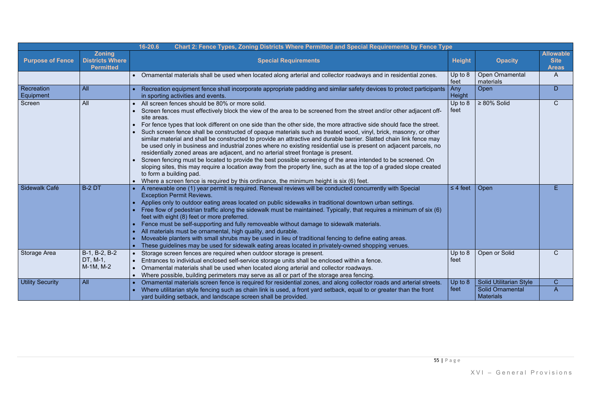|                         |                                                             | 16-20.6<br>Chart 2: Fence Types, Zoning Districts Where Permitted and Special Requirements by Fence Type                                                                                                                                                                                                                                                                                                                                                                                                                                                                                                                                                                                                                                                                                                                                                                                                                                                                                                                                                                                                                                           |                 |                                             |                                                 |
|-------------------------|-------------------------------------------------------------|----------------------------------------------------------------------------------------------------------------------------------------------------------------------------------------------------------------------------------------------------------------------------------------------------------------------------------------------------------------------------------------------------------------------------------------------------------------------------------------------------------------------------------------------------------------------------------------------------------------------------------------------------------------------------------------------------------------------------------------------------------------------------------------------------------------------------------------------------------------------------------------------------------------------------------------------------------------------------------------------------------------------------------------------------------------------------------------------------------------------------------------------------|-----------------|---------------------------------------------|-------------------------------------------------|
| <b>Purpose of Fence</b> | <b>Zoning</b><br><b>Districts Where</b><br><b>Permitted</b> | <b>Special Requirements</b>                                                                                                                                                                                                                                                                                                                                                                                                                                                                                                                                                                                                                                                                                                                                                                                                                                                                                                                                                                                                                                                                                                                        | <b>Height</b>   | <b>Opacity</b>                              | <b>Allowable</b><br><b>Site</b><br><b>Areas</b> |
|                         |                                                             | • Ornamental materials shall be used when located along arterial and collector roadways and in residential zones.                                                                                                                                                                                                                                                                                                                                                                                                                                                                                                                                                                                                                                                                                                                                                                                                                                                                                                                                                                                                                                  | Up to 8<br>feet | <b>Open Ornamental</b><br>materials         | $\mathsf{A}$                                    |
| Recreation<br>Equipment | <b>All</b>                                                  | Recreation equipment fence shall incorporate appropriate padding and similar safety devices to protect participants   Any<br>in sporting activities and events.                                                                                                                                                                                                                                                                                                                                                                                                                                                                                                                                                                                                                                                                                                                                                                                                                                                                                                                                                                                    | Height          | Open                                        | D                                               |
| Screen                  | All                                                         | All screen fences should be 80% or more solid.<br>$\bullet$<br>Screen fences must effectively block the view of the area to be screened from the street and/or other adjacent off-<br>site areas.<br>For fence types that look different on one side than the other side, the more attractive side should face the street.<br>Such screen fence shall be constructed of opaque materials such as treated wood, vinyl, brick, masonry, or other<br>similar material and shall be constructed to provide an attractive and durable barrier. Slatted chain link fence may<br>be used only in business and industrial zones where no existing residential use is present on adjacent parcels, no<br>residentially zoned areas are adjacent, and no arterial street frontage is present.<br>Screen fencing must be located to provide the best possible screening of the area intended to be screened. On<br>sloping sites, this may require a location away from the property line, such as at the top of a graded slope created<br>to form a building pad.<br>Where a screen fence is required by this ordinance, the minimum height is six (6) feet. | Up to 8<br>feet | $\geq 80\%$ Solid                           | $\mathsf{C}$                                    |
| Sidewalk Café           | <b>B-2 DT</b>                                               | A renewable one (1) year permit is required. Renewal reviews will be conducted concurrently with Special<br><b>Exception Permit Reviews.</b><br>Applies only to outdoor eating areas located on public sidewalks in traditional downtown urban settings.<br>Free flow of pedestrian traffic along the sidewalk must be maintained. Typically, that requires a minimum of six (6)<br>feet with eight (8) feet or more preferred.<br>Fence must be self-supporting and fully removeable without damage to sidewalk materials.<br>All materials must be ornamental, high quality, and durable.<br>Moveable planters with small shrubs may be used in lieu of traditional fencing to define eating areas.<br>These guidelines may be used for sidewalk eating areas located in privately-owned shopping venues.                                                                                                                                                                                                                                                                                                                                        | $\leq$ 4 feet   | Open                                        | E                                               |
| <b>Storage Area</b>     | $B-1, B-2, B-2$<br>DT, M-1,<br>M-1M, M-2                    | Storage screen fences are required when outdoor storage is present.<br>Entrances to individual enclosed self-service storage units shall be enclosed within a fence.<br>Ornamental materials shall be used when located along arterial and collector roadways.<br>Where possible, building perimeters may serve as all or part of the storage area fencing.<br>$\bullet$                                                                                                                                                                                                                                                                                                                                                                                                                                                                                                                                                                                                                                                                                                                                                                           | Up to 8<br>feet | Open or Solid                               | $\mathsf{C}$                                    |
| <b>Utility Security</b> | All                                                         | Ornamental materials screen fence is required for residential zones, and along collector roads and arterial streets.<br>$\bullet$                                                                                                                                                                                                                                                                                                                                                                                                                                                                                                                                                                                                                                                                                                                                                                                                                                                                                                                                                                                                                  | Up to 8         | <b>Solid Utilitarian Style</b>              | $\mathsf{C}$                                    |
|                         |                                                             | Where utilitarian style fencing such as chain link is used, a front yard setback, equal to or greater than the front<br>yard building setback, and landscape screen shall be provided.                                                                                                                                                                                                                                                                                                                                                                                                                                                                                                                                                                                                                                                                                                                                                                                                                                                                                                                                                             | feet            | <b>Solid Ornamental</b><br><b>Materials</b> | $\overline{A}$                                  |